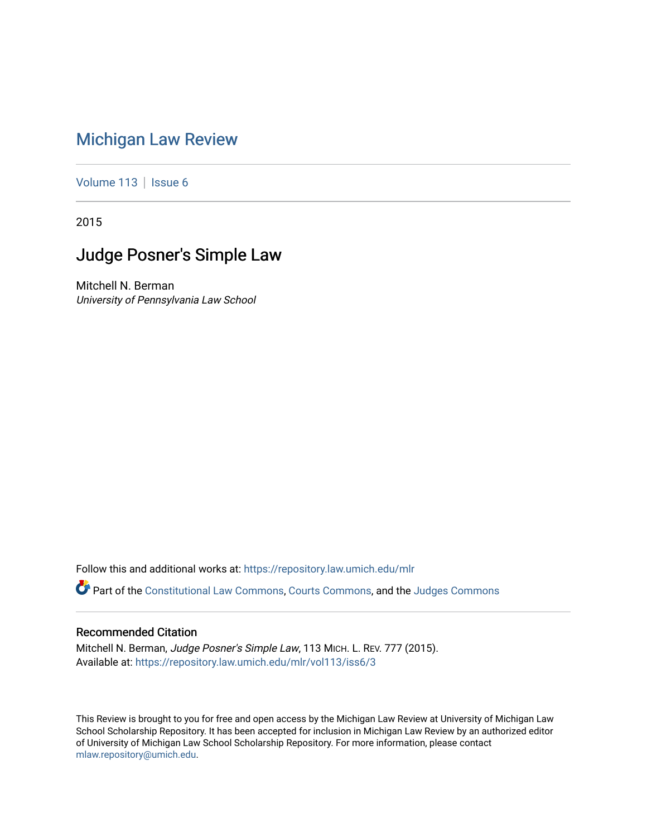# [Michigan Law Review](https://repository.law.umich.edu/mlr)

[Volume 113](https://repository.law.umich.edu/mlr/vol113) | [Issue 6](https://repository.law.umich.edu/mlr/vol113/iss6)

2015

# Judge Posner's Simple Law

Mitchell N. Berman University of Pennsylvania Law School

Follow this and additional works at: [https://repository.law.umich.edu/mlr](https://repository.law.umich.edu/mlr?utm_source=repository.law.umich.edu%2Fmlr%2Fvol113%2Fiss6%2F3&utm_medium=PDF&utm_campaign=PDFCoverPages) 

Part of the [Constitutional Law Commons,](http://network.bepress.com/hgg/discipline/589?utm_source=repository.law.umich.edu%2Fmlr%2Fvol113%2Fiss6%2F3&utm_medium=PDF&utm_campaign=PDFCoverPages) [Courts Commons,](http://network.bepress.com/hgg/discipline/839?utm_source=repository.law.umich.edu%2Fmlr%2Fvol113%2Fiss6%2F3&utm_medium=PDF&utm_campaign=PDFCoverPages) and the [Judges Commons](http://network.bepress.com/hgg/discipline/849?utm_source=repository.law.umich.edu%2Fmlr%2Fvol113%2Fiss6%2F3&utm_medium=PDF&utm_campaign=PDFCoverPages) 

# Recommended Citation

Mitchell N. Berman, Judge Posner's Simple Law, 113 MICH. L. REV. 777 (2015). Available at: [https://repository.law.umich.edu/mlr/vol113/iss6/3](https://repository.law.umich.edu/mlr/vol113/iss6/3?utm_source=repository.law.umich.edu%2Fmlr%2Fvol113%2Fiss6%2F3&utm_medium=PDF&utm_campaign=PDFCoverPages) 

This Review is brought to you for free and open access by the Michigan Law Review at University of Michigan Law School Scholarship Repository. It has been accepted for inclusion in Michigan Law Review by an authorized editor of University of Michigan Law School Scholarship Repository. For more information, please contact [mlaw.repository@umich.edu.](mailto:mlaw.repository@umich.edu)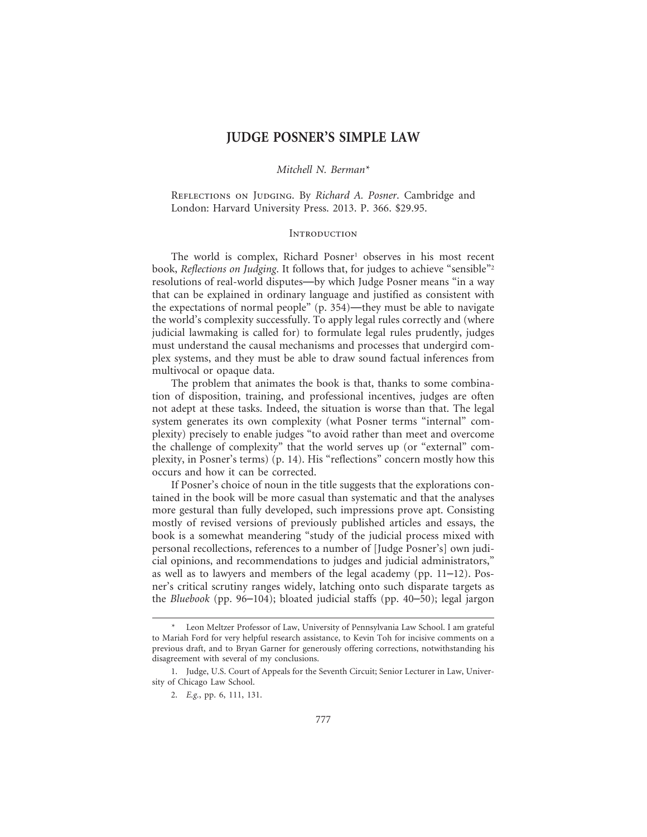# **JUDGE POSNER'S SIMPLE LAW**

### *Mitchell N. Berman\**

REFLECTIONS ON JUDGING. By *Richard A. Posner*. Cambridge and London: Harvard University Press. 2013. P. 366. \$29.95.

#### **INTRODUCTION**

The world is complex, Richard Posner<sup>1</sup> observes in his most recent book, *Reflections on Judging*. It follows that, for judges to achieve "sensible"2 resolutions of real-world disputes—by which Judge Posner means "in a way that can be explained in ordinary language and justified as consistent with the expectations of normal people" (p. 354)—they must be able to navigate the world's complexity successfully. To apply legal rules correctly and (where judicial lawmaking is called for) to formulate legal rules prudently, judges must understand the causal mechanisms and processes that undergird complex systems, and they must be able to draw sound factual inferences from multivocal or opaque data.

The problem that animates the book is that, thanks to some combination of disposition, training, and professional incentives, judges are often not adept at these tasks. Indeed, the situation is worse than that. The legal system generates its own complexity (what Posner terms "internal" complexity) precisely to enable judges "to avoid rather than meet and overcome the challenge of complexity" that the world serves up (or "external" complexity, in Posner's terms) (p. 14). His "reflections" concern mostly how this occurs and how it can be corrected.

If Posner's choice of noun in the title suggests that the explorations contained in the book will be more casual than systematic and that the analyses more gestural than fully developed, such impressions prove apt. Consisting mostly of revised versions of previously published articles and essays, the book is a somewhat meandering "study of the judicial process mixed with personal recollections, references to a number of [Judge Posner's] own judicial opinions, and recommendations to judges and judicial administrators," as well as to lawyers and members of the legal academy (pp. 11–12). Posner's critical scrutiny ranges widely, latching onto such disparate targets as the *Bluebook* (pp. 96–104); bloated judicial staffs (pp. 40–50); legal jargon

Leon Meltzer Professor of Law, University of Pennsylvania Law School. I am grateful to Mariah Ford for very helpful research assistance, to Kevin Toh for incisive comments on a previous draft, and to Bryan Garner for generously offering corrections, notwithstanding his disagreement with several of my conclusions.

<sup>1.</sup> Judge, U.S. Court of Appeals for the Seventh Circuit; Senior Lecturer in Law, University of Chicago Law School.

<sup>2.</sup> *E.g.*, pp. 6, 111, 131.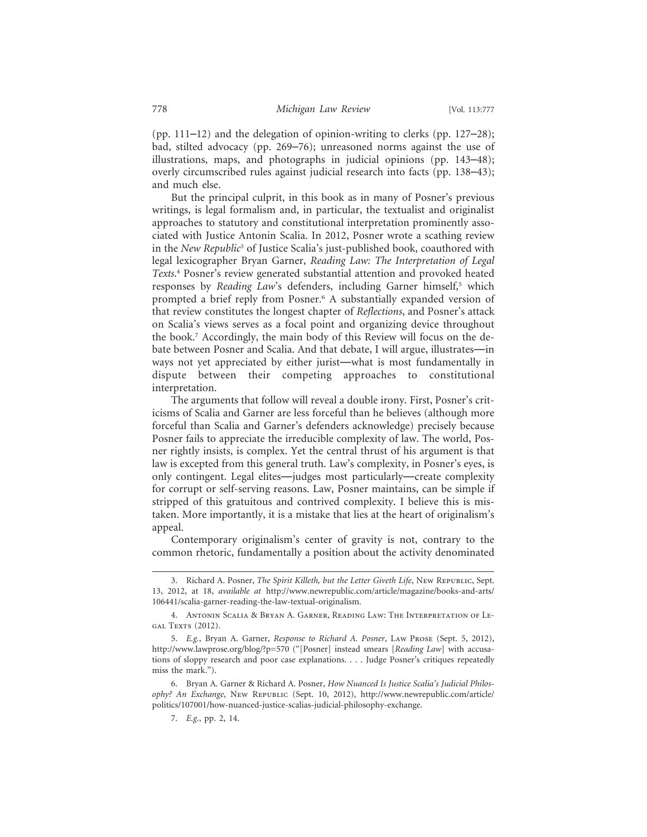(pp. 111–12) and the delegation of opinion-writing to clerks (pp. 127–28); bad, stilted advocacy (pp. 269–76); unreasoned norms against the use of illustrations, maps, and photographs in judicial opinions (pp. 143–48); overly circumscribed rules against judicial research into facts (pp. 138–43); and much else.

But the principal culprit, in this book as in many of Posner's previous writings, is legal formalism and, in particular, the textualist and originalist approaches to statutory and constitutional interpretation prominently associated with Justice Antonin Scalia. In 2012, Posner wrote a scathing review in the *New Republic*<sup>3</sup> of Justice Scalia's just-published book, coauthored with legal lexicographer Bryan Garner, *Reading Law: The Interpretation of Legal Texts*. 4 Posner's review generated substantial attention and provoked heated responses by *Reading Law'*s defenders, including Garner himself,<sup>5</sup> which prompted a brief reply from Posner.6 A substantially expanded version of that review constitutes the longest chapter of *Reflections*, and Posner's attack on Scalia's views serves as a focal point and organizing device throughout the book.7 Accordingly, the main body of this Review will focus on the debate between Posner and Scalia. And that debate, I will argue, illustrates—in ways not yet appreciated by either jurist—what is most fundamentally in dispute between their competing approaches to constitutional interpretation.

The arguments that follow will reveal a double irony. First, Posner's criticisms of Scalia and Garner are less forceful than he believes (although more forceful than Scalia and Garner's defenders acknowledge) precisely because Posner fails to appreciate the irreducible complexity of law. The world, Posner rightly insists, is complex. Yet the central thrust of his argument is that law is excepted from this general truth. Law's complexity, in Posner's eyes, is only contingent. Legal elites—judges most particularly—create complexity for corrupt or self-serving reasons. Law, Posner maintains, can be simple if stripped of this gratuitous and contrived complexity. I believe this is mistaken. More importantly, it is a mistake that lies at the heart of originalism's appeal.

Contemporary originalism's center of gravity is not, contrary to the common rhetoric, fundamentally a position about the activity denominated

<sup>3.</sup> Richard A. Posner, *The Spirit Killeth, but the Letter Giveth Life*, New Republic, Sept. 13, 2012, at 18, *available at* http://www.newrepublic.com/article/magazine/books-and-arts/ 106441/scalia-garner-reading-the-law-textual-originalism.

<sup>4.</sup> Antonin Scalia & Bryan A. Garner, Reading Law: The Interpretation of Le-GAL TEXTS (2012).

<sup>5.</sup> *E.g.*, Bryan A. Garner, *Response to Richard A. Posner*, Law Prose (Sept. 5, 2012), http://www.lawprose.org/blog/?p=570 ("[Posner] instead smears [*Reading Law*] with accusations of sloppy research and poor case explanations. . . . Judge Posner's critiques repeatedly miss the mark.").

<sup>6.</sup> Bryan A. Garner & Richard A. Posner, *How Nuanced Is Justice Scalia's Judicial Philosophy? An Exchange*, New Republic (Sept. 10, 2012), http://www.newrepublic.com/article/ politics/107001/how-nuanced-justice-scalias-judicial-philosophy-exchange.

<sup>7.</sup> *E.g.*, pp. 2, 14.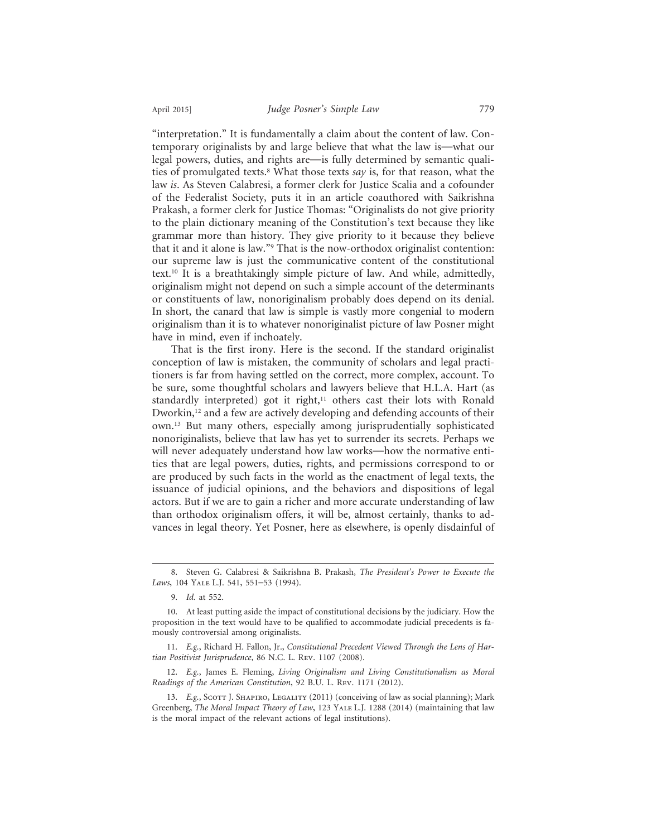"interpretation." It is fundamentally a claim about the content of law. Contemporary originalists by and large believe that what the law is—what our legal powers, duties, and rights are—is fully determined by semantic qualities of promulgated texts.8 What those texts *say* is, for that reason, what the law *is*. As Steven Calabresi, a former clerk for Justice Scalia and a cofounder of the Federalist Society, puts it in an article coauthored with Saikrishna Prakash, a former clerk for Justice Thomas: "Originalists do not give priority to the plain dictionary meaning of the Constitution's text because they like grammar more than history. They give priority to it because they believe that it and it alone is law."9 That is the now-orthodox originalist contention: our supreme law is just the communicative content of the constitutional text.10 It is a breathtakingly simple picture of law. And while, admittedly, originalism might not depend on such a simple account of the determinants or constituents of law, nonoriginalism probably does depend on its denial. In short, the canard that law is simple is vastly more congenial to modern originalism than it is to whatever nonoriginalist picture of law Posner might have in mind, even if inchoately.

That is the first irony. Here is the second. If the standard originalist conception of law is mistaken, the community of scholars and legal practitioners is far from having settled on the correct, more complex, account. To be sure, some thoughtful scholars and lawyers believe that H.L.A. Hart (as standardly interpreted) got it right,<sup>11</sup> others cast their lots with Ronald Dworkin,<sup>12</sup> and a few are actively developing and defending accounts of their own.13 But many others, especially among jurisprudentially sophisticated nonoriginalists, believe that law has yet to surrender its secrets. Perhaps we will never adequately understand how law works—how the normative entities that are legal powers, duties, rights, and permissions correspond to or are produced by such facts in the world as the enactment of legal texts, the issuance of judicial opinions, and the behaviors and dispositions of legal actors. But if we are to gain a richer and more accurate understanding of law than orthodox originalism offers, it will be, almost certainly, thanks to advances in legal theory. Yet Posner, here as elsewhere, is openly disdainful of

<sup>8.</sup> Steven G. Calabresi & Saikrishna B. Prakash, *The President's Power to Execute the Laws*, 104 Yale L.J. 541, 551–53 (1994).

<sup>9.</sup> *Id.* at 552.

<sup>10.</sup> At least putting aside the impact of constitutional decisions by the judiciary. How the proposition in the text would have to be qualified to accommodate judicial precedents is famously controversial among originalists.

<sup>11.</sup> *E.g.*, Richard H. Fallon, Jr., *Constitutional Precedent Viewed Through the Lens of Hartian Positivist Jurisprudence*, 86 N.C. L. Rev. 1107 (2008).

<sup>12.</sup> *E.g.*, James E. Fleming, *Living Originalism and Living Constitutionalism as Moral Readings of the American Constitution*, 92 B.U. L. Rev. 1171 (2012).

<sup>13.</sup> E.g., Scott J. SHAPIRO, LEGALITY (2011) (conceiving of law as social planning); Mark Greenberg, *The Moral Impact Theory of Law*, 123 Yale L.J. 1288 (2014) (maintaining that law is the moral impact of the relevant actions of legal institutions).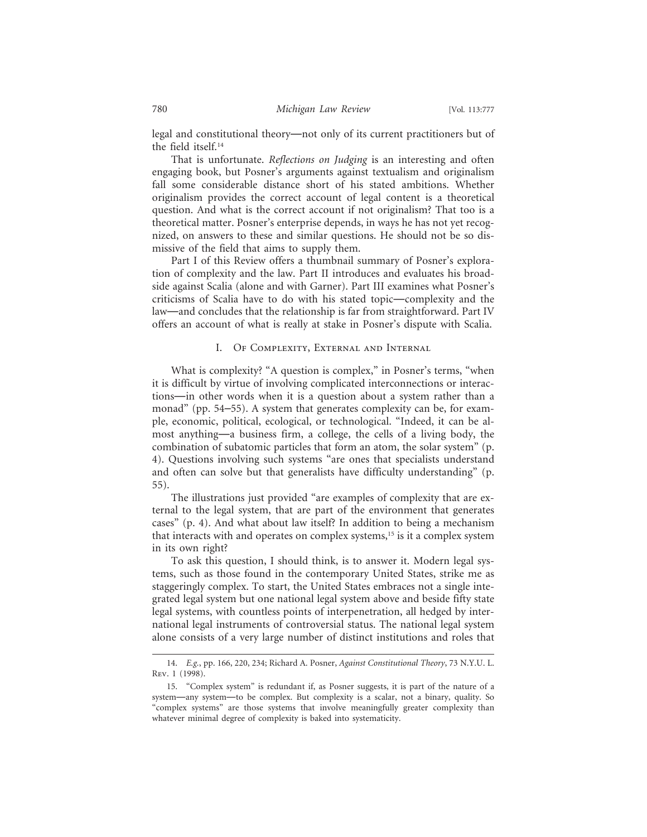legal and constitutional theory—not only of its current practitioners but of the field itself.14

That is unfortunate. *Reflections on Judging* is an interesting and often engaging book, but Posner's arguments against textualism and originalism fall some considerable distance short of his stated ambitions. Whether originalism provides the correct account of legal content is a theoretical question. And what is the correct account if not originalism? That too is a theoretical matter. Posner's enterprise depends, in ways he has not yet recognized, on answers to these and similar questions. He should not be so dismissive of the field that aims to supply them.

Part I of this Review offers a thumbnail summary of Posner's exploration of complexity and the law. Part II introduces and evaluates his broadside against Scalia (alone and with Garner). Part III examines what Posner's criticisms of Scalia have to do with his stated topic—complexity and the law—and concludes that the relationship is far from straightforward. Part IV offers an account of what is really at stake in Posner's dispute with Scalia.

## I. Of Complexity, External and Internal

What is complexity? "A question is complex," in Posner's terms, "when it is difficult by virtue of involving complicated interconnections or interactions—in other words when it is a question about a system rather than a monad" (pp. 54–55). A system that generates complexity can be, for example, economic, political, ecological, or technological. "Indeed, it can be almost anything—a business firm, a college, the cells of a living body, the combination of subatomic particles that form an atom, the solar system" (p. 4). Questions involving such systems "are ones that specialists understand and often can solve but that generalists have difficulty understanding" (p. 55).

The illustrations just provided "are examples of complexity that are external to the legal system, that are part of the environment that generates cases" (p. 4). And what about law itself? In addition to being a mechanism that interacts with and operates on complex systems,<sup>15</sup> is it a complex system in its own right?

To ask this question, I should think, is to answer it. Modern legal systems, such as those found in the contemporary United States, strike me as staggeringly complex. To start, the United States embraces not a single integrated legal system but one national legal system above and beside fifty state legal systems, with countless points of interpenetration, all hedged by international legal instruments of controversial status. The national legal system alone consists of a very large number of distinct institutions and roles that

<sup>14.</sup> *E.g.*, pp. 166, 220, 234; Richard A. Posner, *Against Constitutional Theory*, 73 N.Y.U. L. Rev. 1 (1998).

<sup>15. &</sup>quot;Complex system" is redundant if, as Posner suggests, it is part of the nature of a system—any system—to be complex. But complexity is a scalar, not a binary, quality. So "complex systems" are those systems that involve meaningfully greater complexity than whatever minimal degree of complexity is baked into systematicity.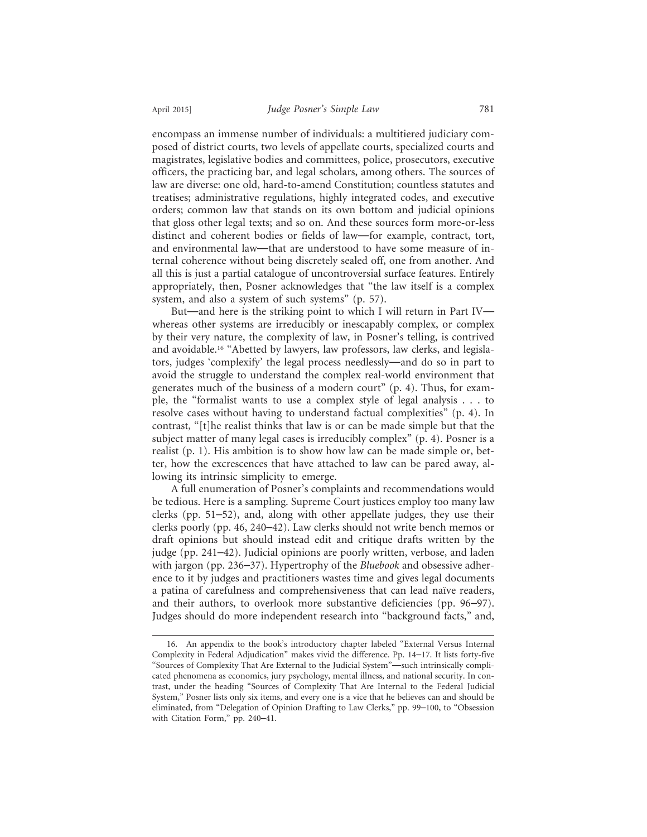encompass an immense number of individuals: a multitiered judiciary composed of district courts, two levels of appellate courts, specialized courts and magistrates, legislative bodies and committees, police, prosecutors, executive officers, the practicing bar, and legal scholars, among others. The sources of law are diverse: one old, hard-to-amend Constitution; countless statutes and treatises; administrative regulations, highly integrated codes, and executive orders; common law that stands on its own bottom and judicial opinions that gloss other legal texts; and so on. And these sources form more-or-less distinct and coherent bodies or fields of law—for example, contract, tort, and environmental law—that are understood to have some measure of internal coherence without being discretely sealed off, one from another. And all this is just a partial catalogue of uncontroversial surface features. Entirely appropriately, then, Posner acknowledges that "the law itself is a complex system, and also a system of such systems" (p. 57).

But—and here is the striking point to which I will return in Part IV whereas other systems are irreducibly or inescapably complex, or complex by their very nature, the complexity of law, in Posner's telling, is contrived and avoidable.16 "Abetted by lawyers, law professors, law clerks, and legislators, judges 'complexify' the legal process needlessly—and do so in part to avoid the struggle to understand the complex real-world environment that generates much of the business of a modern court" (p. 4). Thus, for example, the "formalist wants to use a complex style of legal analysis . . . to resolve cases without having to understand factual complexities" (p. 4). In contrast, "[t]he realist thinks that law is or can be made simple but that the subject matter of many legal cases is irreducibly complex" (p. 4). Posner is a realist (p. 1). His ambition is to show how law can be made simple or, better, how the excrescences that have attached to law can be pared away, allowing its intrinsic simplicity to emerge.

A full enumeration of Posner's complaints and recommendations would be tedious. Here is a sampling. Supreme Court justices employ too many law clerks (pp. 51–52), and, along with other appellate judges, they use their clerks poorly (pp. 46, 240–42). Law clerks should not write bench memos or draft opinions but should instead edit and critique drafts written by the judge (pp. 241–42). Judicial opinions are poorly written, verbose, and laden with jargon (pp. 236–37). Hypertrophy of the *Bluebook* and obsessive adherence to it by judges and practitioners wastes time and gives legal documents a patina of carefulness and comprehensiveness that can lead naïve readers, and their authors, to overlook more substantive deficiencies (pp. 96–97). Judges should do more independent research into "background facts," and,

<sup>16.</sup> An appendix to the book's introductory chapter labeled "External Versus Internal Complexity in Federal Adjudication" makes vivid the difference. Pp. 14–17. It lists forty-five "Sources of Complexity That Are External to the Judicial System"—such intrinsically complicated phenomena as economics, jury psychology, mental illness, and national security. In contrast, under the heading "Sources of Complexity That Are Internal to the Federal Judicial System," Posner lists only six items, and every one is a vice that he believes can and should be eliminated, from "Delegation of Opinion Drafting to Law Clerks," pp. 99–100, to "Obsession with Citation Form," pp. 240–41.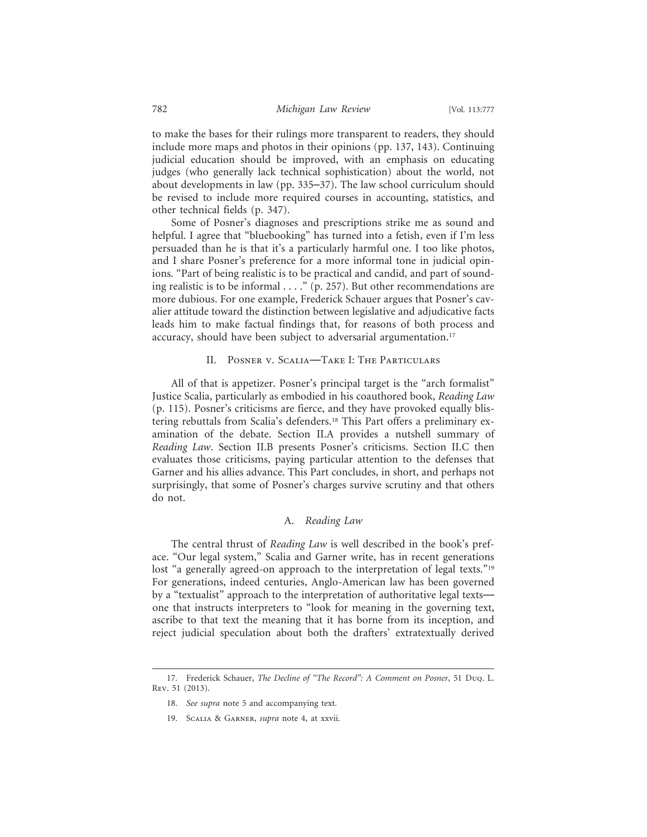to make the bases for their rulings more transparent to readers, they should include more maps and photos in their opinions (pp. 137, 143). Continuing judicial education should be improved, with an emphasis on educating judges (who generally lack technical sophistication) about the world, not about developments in law (pp. 335–37). The law school curriculum should be revised to include more required courses in accounting, statistics, and other technical fields (p. 347).

Some of Posner's diagnoses and prescriptions strike me as sound and helpful. I agree that "bluebooking" has turned into a fetish, even if I'm less persuaded than he is that it's a particularly harmful one. I too like photos, and I share Posner's preference for a more informal tone in judicial opinions. "Part of being realistic is to be practical and candid, and part of sounding realistic is to be informal . . . ." (p. 257). But other recommendations are more dubious. For one example, Frederick Schauer argues that Posner's cavalier attitude toward the distinction between legislative and adjudicative facts leads him to make factual findings that, for reasons of both process and accuracy, should have been subject to adversarial argumentation.<sup>17</sup>

## II. Posner v. Scalia—Take I: The Particulars

All of that is appetizer. Posner's principal target is the "arch formalist" Justice Scalia, particularly as embodied in his coauthored book, *Reading Law* (p. 115). Posner's criticisms are fierce, and they have provoked equally blistering rebuttals from Scalia's defenders.18 This Part offers a preliminary examination of the debate. Section II.A provides a nutshell summary of *Reading Law*. Section II.B presents Posner's criticisms. Section II.C then evaluates those criticisms, paying particular attention to the defenses that Garner and his allies advance. This Part concludes, in short, and perhaps not surprisingly, that some of Posner's charges survive scrutiny and that others do not.

## A. *Reading Law*

The central thrust of *Reading Law* is well described in the book's preface. "Our legal system," Scalia and Garner write, has in recent generations lost "a generally agreed-on approach to the interpretation of legal texts."<sup>19</sup> For generations, indeed centuries, Anglo-American law has been governed by a "textualist" approach to the interpretation of authoritative legal texts one that instructs interpreters to "look for meaning in the governing text, ascribe to that text the meaning that it has borne from its inception, and reject judicial speculation about both the drafters' extratextually derived

<sup>17.</sup> Frederick Schauer, *The Decline of "The Record": A Comment on Posner*, 51 Duq. L. Rev. 51 (2013).

<sup>18.</sup> *See supra* note 5 and accompanying text.

<sup>19.</sup> Scalia & Garner, *supra* note 4, at xxvii.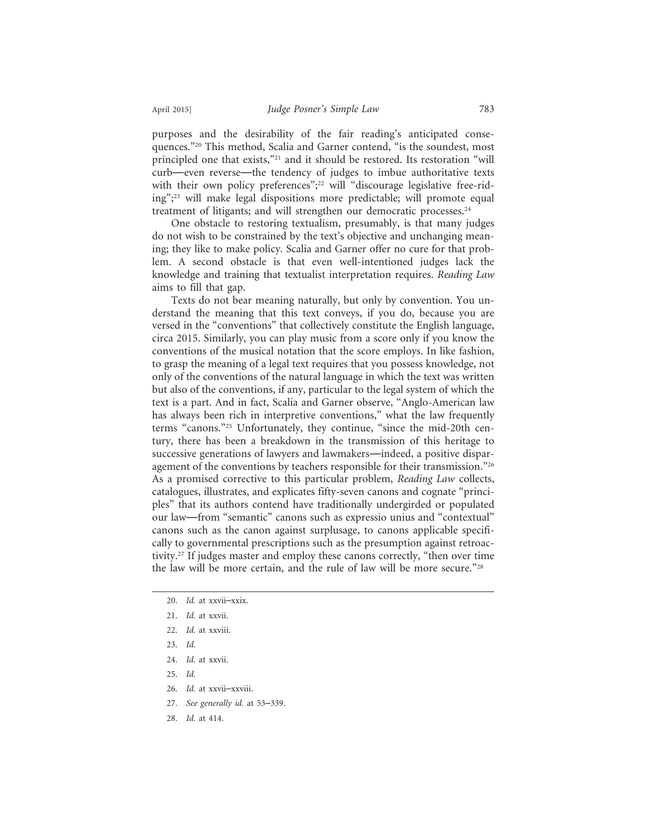purposes and the desirability of the fair reading's anticipated consequences."20 This method, Scalia and Garner contend, "is the soundest, most principled one that exists,"<sup>21</sup> and it should be restored. Its restoration "will curb—even reverse—the tendency of judges to imbue authoritative texts with their own policy preferences";<sup>22</sup> will "discourage legislative free-riding";23 will make legal dispositions more predictable; will promote equal treatment of litigants; and will strengthen our democratic processes.<sup>24</sup>

One obstacle to restoring textualism, presumably, is that many judges do not wish to be constrained by the text's objective and unchanging meaning; they like to make policy. Scalia and Garner offer no cure for that problem. A second obstacle is that even well-intentioned judges lack the knowledge and training that textualist interpretation requires. *Reading Law* aims to fill that gap.

Texts do not bear meaning naturally, but only by convention. You understand the meaning that this text conveys, if you do, because you are versed in the "conventions" that collectively constitute the English language, circa 2015. Similarly, you can play music from a score only if you know the conventions of the musical notation that the score employs. In like fashion, to grasp the meaning of a legal text requires that you possess knowledge, not only of the conventions of the natural language in which the text was written but also of the conventions, if any, particular to the legal system of which the text is a part. And in fact, Scalia and Garner observe, "Anglo-American law has always been rich in interpretive conventions," what the law frequently terms "canons."25 Unfortunately, they continue, "since the mid-20th century, there has been a breakdown in the transmission of this heritage to successive generations of lawyers and lawmakers—indeed, a positive disparagement of the conventions by teachers responsible for their transmission."26 As a promised corrective to this particular problem, *Reading Law* collects, catalogues, illustrates, and explicates fifty-seven canons and cognate "principles" that its authors contend have traditionally undergirded or populated our law—from "semantic" canons such as expressio unius and "contextual" canons such as the canon against surplusage, to canons applicable specifically to governmental prescriptions such as the presumption against retroactivity.27 If judges master and employ these canons correctly, "then over time the law will be more certain, and the rule of law will be more secure."28

- 20. *Id.* at xxvii–xxix.
- 21. *Id.* at xxvii.
- 22. *Id.* at xxviii.
- 23. *Id.*
- 24. *Id.* at xxvii.
- 25. *Id.*
- 26. *Id.* at xxvii–xxviii.
- 27. *See generally id.* at 53–339.
- 28. *Id.* at 414.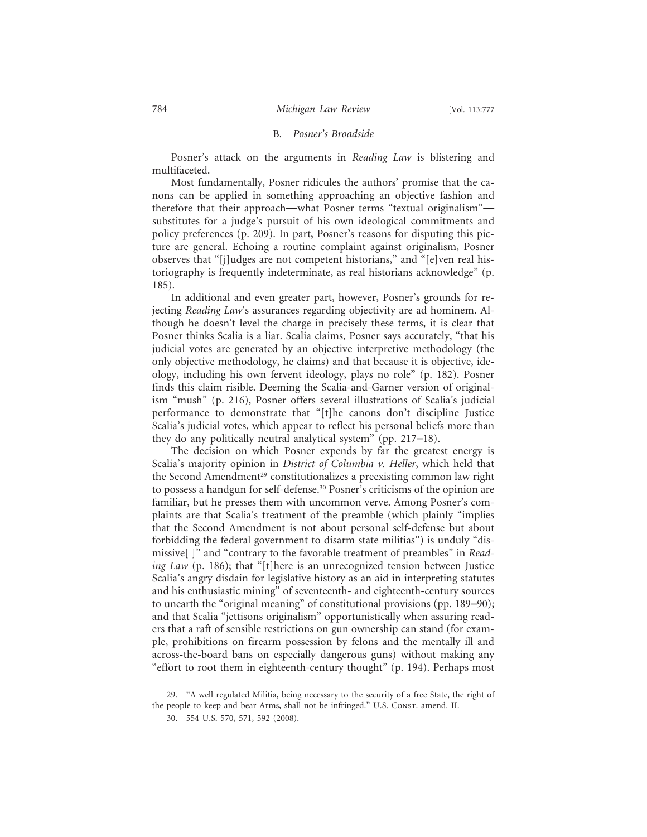## B. *Posner's Broadside*

Posner's attack on the arguments in *Reading Law* is blistering and multifaceted.

Most fundamentally, Posner ridicules the authors' promise that the canons can be applied in something approaching an objective fashion and therefore that their approach—what Posner terms "textual originalism" substitutes for a judge's pursuit of his own ideological commitments and policy preferences (p. 209). In part, Posner's reasons for disputing this picture are general. Echoing a routine complaint against originalism, Posner observes that "[j]udges are not competent historians," and "[e]ven real historiography is frequently indeterminate, as real historians acknowledge" (p. 185).

In additional and even greater part, however, Posner's grounds for rejecting *Reading Law*'s assurances regarding objectivity are ad hominem. Although he doesn't level the charge in precisely these terms, it is clear that Posner thinks Scalia is a liar. Scalia claims, Posner says accurately, "that his judicial votes are generated by an objective interpretive methodology (the only objective methodology, he claims) and that because it is objective, ideology, including his own fervent ideology, plays no role" (p. 182). Posner finds this claim risible. Deeming the Scalia-and-Garner version of originalism "mush" (p. 216), Posner offers several illustrations of Scalia's judicial performance to demonstrate that "[t]he canons don't discipline Justice Scalia's judicial votes, which appear to reflect his personal beliefs more than they do any politically neutral analytical system" (pp. 217–18).

The decision on which Posner expends by far the greatest energy is Scalia's majority opinion in *District of Columbia v. Heller*, which held that the Second Amendment<sup>29</sup> constitutionalizes a preexisting common law right to possess a handgun for self-defense.30 Posner's criticisms of the opinion are familiar, but he presses them with uncommon verve. Among Posner's complaints are that Scalia's treatment of the preamble (which plainly "implies that the Second Amendment is not about personal self-defense but about forbidding the federal government to disarm state militias") is unduly "dismissive[ ]" and "contrary to the favorable treatment of preambles" in *Reading Law* (p. 186); that "[t]here is an unrecognized tension between Justice Scalia's angry disdain for legislative history as an aid in interpreting statutes and his enthusiastic mining" of seventeenth- and eighteenth-century sources to unearth the "original meaning" of constitutional provisions (pp. 189–90); and that Scalia "jettisons originalism" opportunistically when assuring readers that a raft of sensible restrictions on gun ownership can stand (for example, prohibitions on firearm possession by felons and the mentally ill and across-the-board bans on especially dangerous guns) without making any "effort to root them in eighteenth-century thought" (p. 194). Perhaps most

<sup>29. &</sup>quot;A well regulated Militia, being necessary to the security of a free State, the right of the people to keep and bear Arms, shall not be infringed." U.S. Consr. amend. II.

<sup>30. 554</sup> U.S. 570, 571, 592 (2008).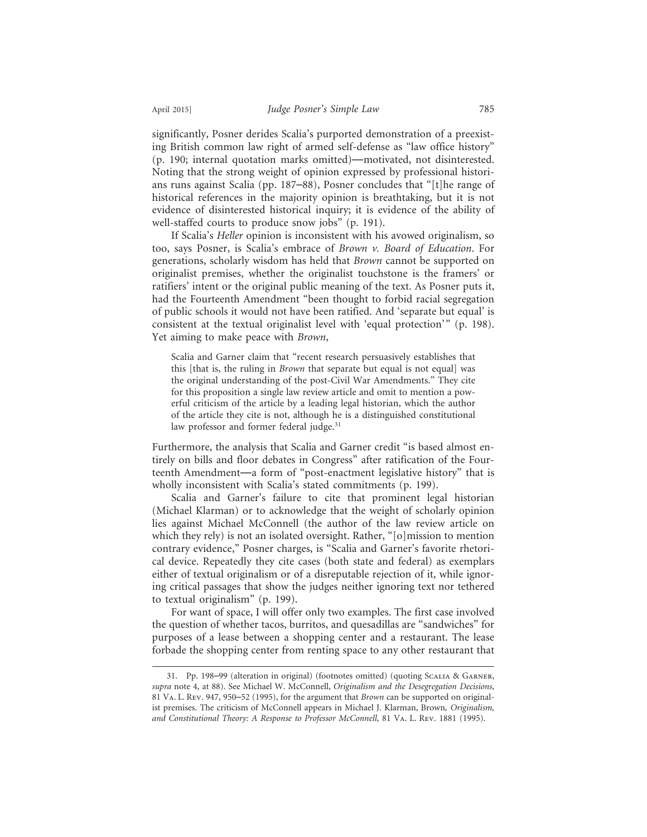significantly, Posner derides Scalia's purported demonstration of a preexisting British common law right of armed self-defense as "law office history" (p. 190; internal quotation marks omitted)—motivated, not disinterested. Noting that the strong weight of opinion expressed by professional historians runs against Scalia (pp. 187–88), Posner concludes that "[t]he range of historical references in the majority opinion is breathtaking, but it is not evidence of disinterested historical inquiry; it is evidence of the ability of well-staffed courts to produce snow jobs" (p. 191).

If Scalia's *Heller* opinion is inconsistent with his avowed originalism, so too, says Posner, is Scalia's embrace of *Brown v. Board of Education*. For generations, scholarly wisdom has held that *Brown* cannot be supported on originalist premises, whether the originalist touchstone is the framers' or ratifiers' intent or the original public meaning of the text. As Posner puts it, had the Fourteenth Amendment "been thought to forbid racial segregation of public schools it would not have been ratified. And 'separate but equal' is consistent at the textual originalist level with 'equal protection'" (p. 198). Yet aiming to make peace with *Brown*,

Scalia and Garner claim that "recent research persuasively establishes that this [that is, the ruling in *Brown* that separate but equal is not equal] was the original understanding of the post-Civil War Amendments." They cite for this proposition a single law review article and omit to mention a powerful criticism of the article by a leading legal historian, which the author of the article they cite is not, although he is a distinguished constitutional law professor and former federal judge.<sup>31</sup>

Furthermore, the analysis that Scalia and Garner credit "is based almost entirely on bills and floor debates in Congress" after ratification of the Fourteenth Amendment—a form of "post-enactment legislative history" that is wholly inconsistent with Scalia's stated commitments (p. 199).

Scalia and Garner's failure to cite that prominent legal historian (Michael Klarman) or to acknowledge that the weight of scholarly opinion lies against Michael McConnell (the author of the law review article on which they rely) is not an isolated oversight. Rather, "[o]mission to mention contrary evidence," Posner charges, is "Scalia and Garner's favorite rhetorical device. Repeatedly they cite cases (both state and federal) as exemplars either of textual originalism or of a disreputable rejection of it, while ignoring critical passages that show the judges neither ignoring text nor tethered to textual originalism" (p. 199).

For want of space, I will offer only two examples. The first case involved the question of whether tacos, burritos, and quesadillas are "sandwiches" for purposes of a lease between a shopping center and a restaurant. The lease forbade the shopping center from renting space to any other restaurant that

<sup>31.</sup> Pp. 198–99 (alteration in original) (footnotes omitted) (quoting Scalia & Garner, *supra* note 4, at 88). See Michael W. McConnell, *Originalism and the Desegregation Decisions*, 81 Va. L. Rev. 947, 950–52 (1995), for the argument that *Brown* can be supported on originalist premises. The criticism of McConnell appears in Michael J. Klarman, Brown*, Originalism, and Constitutional Theory: A Response to Professor McConnell*, 81 Va. L. Rev. 1881 (1995).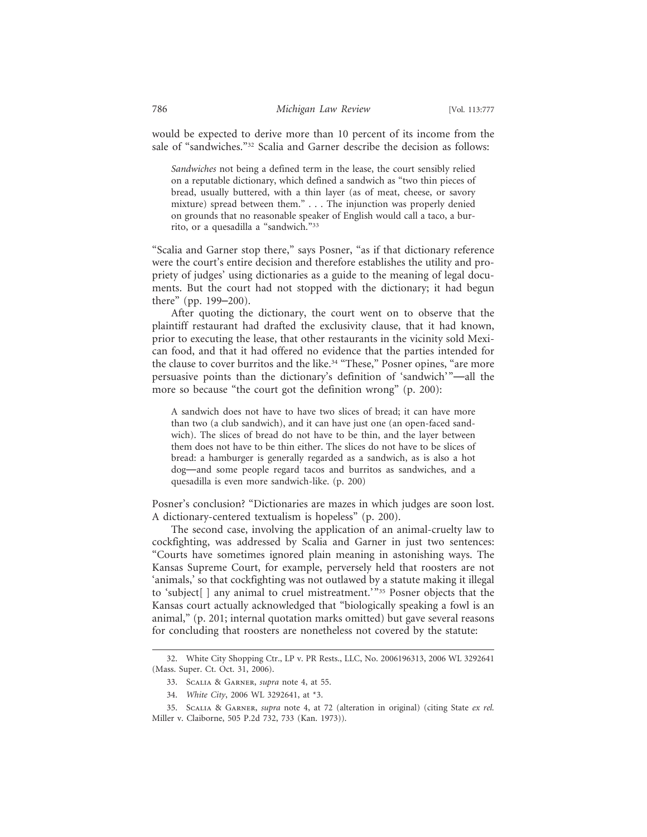would be expected to derive more than 10 percent of its income from the sale of "sandwiches."<sup>32</sup> Scalia and Garner describe the decision as follows:

*Sandwiches* not being a defined term in the lease, the court sensibly relied on a reputable dictionary, which defined a sandwich as "two thin pieces of bread, usually buttered, with a thin layer (as of meat, cheese, or savory mixture) spread between them." . . . The injunction was properly denied on grounds that no reasonable speaker of English would call a taco, a burrito, or a quesadilla a "sandwich."33

"Scalia and Garner stop there," says Posner, "as if that dictionary reference were the court's entire decision and therefore establishes the utility and propriety of judges' using dictionaries as a guide to the meaning of legal documents. But the court had not stopped with the dictionary; it had begun there" (pp. 199–200).

After quoting the dictionary, the court went on to observe that the plaintiff restaurant had drafted the exclusivity clause, that it had known, prior to executing the lease, that other restaurants in the vicinity sold Mexican food, and that it had offered no evidence that the parties intended for the clause to cover burritos and the like.<sup>34</sup> "These," Posner opines, "are more persuasive points than the dictionary's definition of 'sandwich'"—all the more so because "the court got the definition wrong" (p. 200):

A sandwich does not have to have two slices of bread; it can have more than two (a club sandwich), and it can have just one (an open-faced sandwich). The slices of bread do not have to be thin, and the layer between them does not have to be thin either. The slices do not have to be slices of bread: a hamburger is generally regarded as a sandwich, as is also a hot dog—and some people regard tacos and burritos as sandwiches, and a quesadilla is even more sandwich-like. (p. 200)

Posner's conclusion? "Dictionaries are mazes in which judges are soon lost. A dictionary-centered textualism is hopeless" (p. 200).

The second case, involving the application of an animal-cruelty law to cockfighting, was addressed by Scalia and Garner in just two sentences: "Courts have sometimes ignored plain meaning in astonishing ways. The Kansas Supreme Court, for example, perversely held that roosters are not 'animals,' so that cockfighting was not outlawed by a statute making it illegal to 'subject[] any animal to cruel mistreatment.'"35 Posner objects that the Kansas court actually acknowledged that "biologically speaking a fowl is an animal," (p. 201; internal quotation marks omitted) but gave several reasons for concluding that roosters are nonetheless not covered by the statute:

<sup>32.</sup> White City Shopping Ctr., LP v. PR Rests., LLC, No. 2006196313, 2006 WL 3292641 (Mass. Super. Ct. Oct. 31, 2006).

<sup>33.</sup> Scalia & Garner, *supra* note 4, at 55.

<sup>34.</sup> *White City*, 2006 WL 3292641, at \*3.

<sup>35.</sup> Scalia & Garner, *supra* note 4, at 72 (alteration in original) (citing State *ex rel.* Miller v. Claiborne, 505 P.2d 732, 733 (Kan. 1973)).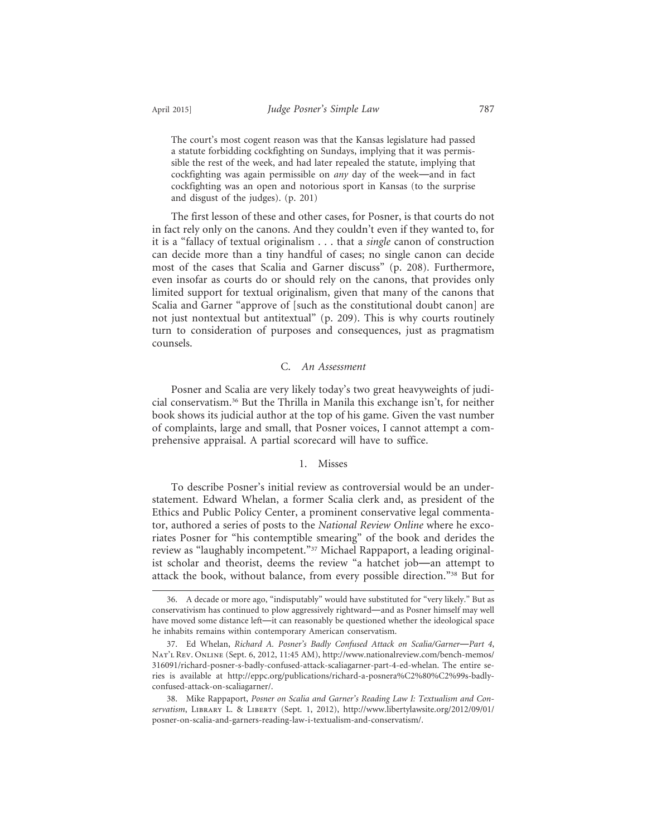The court's most cogent reason was that the Kansas legislature had passed a statute forbidding cockfighting on Sundays, implying that it was permissible the rest of the week, and had later repealed the statute, implying that cockfighting was again permissible on *any* day of the week—and in fact cockfighting was an open and notorious sport in Kansas (to the surprise and disgust of the judges). (p. 201)

The first lesson of these and other cases, for Posner, is that courts do not in fact rely only on the canons. And they couldn't even if they wanted to, for it is a "fallacy of textual originalism . . . that a *single* canon of construction can decide more than a tiny handful of cases; no single canon can decide most of the cases that Scalia and Garner discuss" (p. 208). Furthermore, even insofar as courts do or should rely on the canons, that provides only limited support for textual originalism, given that many of the canons that Scalia and Garner "approve of [such as the constitutional doubt canon] are not just nontextual but antitextual" (p. 209). This is why courts routinely turn to consideration of purposes and consequences, just as pragmatism counsels.

## C. *An Assessment*

Posner and Scalia are very likely today's two great heavyweights of judicial conservatism.36 But the Thrilla in Manila this exchange isn't, for neither book shows its judicial author at the top of his game. Given the vast number of complaints, large and small, that Posner voices, I cannot attempt a comprehensive appraisal. A partial scorecard will have to suffice.

## 1. Misses

To describe Posner's initial review as controversial would be an understatement. Edward Whelan, a former Scalia clerk and, as president of the Ethics and Public Policy Center, a prominent conservative legal commentator, authored a series of posts to the *National Review Online* where he excoriates Posner for "his contemptible smearing" of the book and derides the review as "laughably incompetent."37 Michael Rappaport, a leading originalist scholar and theorist, deems the review "a hatchet job—an attempt to attack the book, without balance, from every possible direction."38 But for

<sup>36.</sup> A decade or more ago, "indisputably" would have substituted for "very likely." But as conservativism has continued to plow aggressively rightward—and as Posner himself may well have moved some distance left—it can reasonably be questioned whether the ideological space he inhabits remains within contemporary American conservatism.

<sup>37.</sup> Ed Whelan, *Richard A. Posner's Badly Confused Attack on Scalia/Garner*—*Part 4*, Nat'L Rev. ONLINE (Sept. 6, 2012, 11:45 AM), http://www.nationalreview.com/bench-memos/ 316091/richard-posner-s-badly-confused-attack-scaliagarner-part-4-ed-whelan. The entire series is available at http://eppc.org/publications/richard-a-posnera%C2%80%C2%99s-badlyconfused-attack-on-scaliagarner/.

<sup>38.</sup> Mike Rappaport, *Posner on Scalia and Garner's Reading Law I: Textualism and Conservatism*, Library L. & Liberty (Sept. 1, 2012), http://www.libertylawsite.org/2012/09/01/ posner-on-scalia-and-garners-reading-law-i-textualism-and-conservatism/.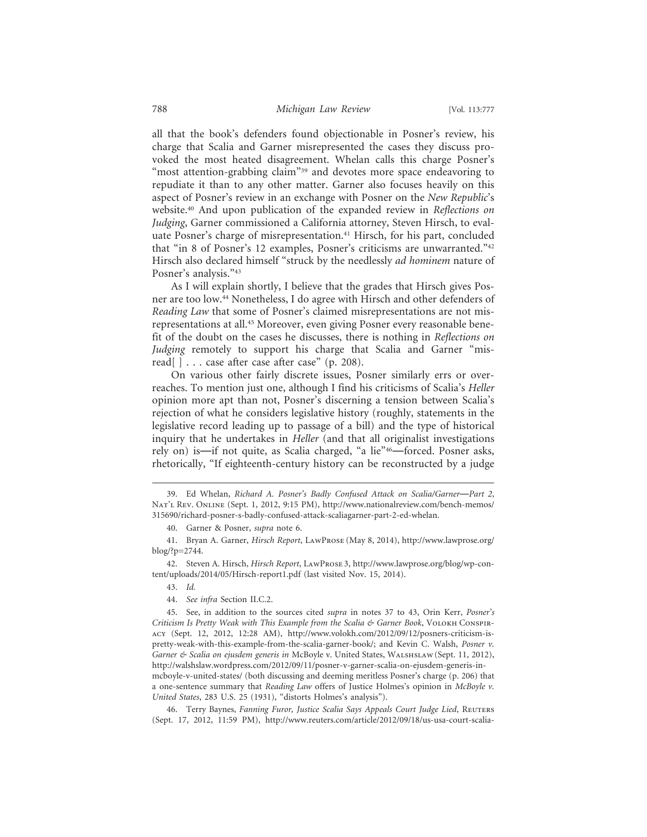all that the book's defenders found objectionable in Posner's review, his charge that Scalia and Garner misrepresented the cases they discuss provoked the most heated disagreement. Whelan calls this charge Posner's "most attention-grabbing claim"<sup>39</sup> and devotes more space endeavoring to repudiate it than to any other matter. Garner also focuses heavily on this aspect of Posner's review in an exchange with Posner on the *New Republic*'s website.40 And upon publication of the expanded review in *Reflections on Judging*, Garner commissioned a California attorney, Steven Hirsch, to evaluate Posner's charge of misrepresentation.<sup>41</sup> Hirsch, for his part, concluded that "in 8 of Posner's 12 examples, Posner's criticisms are unwarranted."42 Hirsch also declared himself "struck by the needlessly *ad hominem* nature of Posner's analysis."43

As I will explain shortly, I believe that the grades that Hirsch gives Posner are too low.44 Nonetheless, I do agree with Hirsch and other defenders of *Reading Law* that some of Posner's claimed misrepresentations are not misrepresentations at all.45 Moreover, even giving Posner every reasonable benefit of the doubt on the cases he discusses, there is nothing in *Reflections on Judging* remotely to support his charge that Scalia and Garner "misread[ ] . . . case after case after case" (p. 208).

On various other fairly discrete issues, Posner similarly errs or overreaches. To mention just one, although I find his criticisms of Scalia's *Heller* opinion more apt than not, Posner's discerning a tension between Scalia's rejection of what he considers legislative history (roughly, statements in the legislative record leading up to passage of a bill) and the type of historical inquiry that he undertakes in *Heller* (and that all originalist investigations rely on) is—if not quite, as Scalia charged, "a lie"46—forced. Posner asks, rhetorically, "If eighteenth-century history can be reconstructed by a judge

42. Steven A. Hirsch, *Hirsch Report*, LawProse 3, http://www.lawprose.org/blog/wp-content/uploads/2014/05/Hirsch-report1.pdf (last visited Nov. 15, 2014).

44. *See infra* Section II.C.2.

45. See, in addition to the sources cited *supra* in notes 37 to 43, Orin Kerr, *Posner's Criticism Is Pretty Weak with This Example from the Scalia & Garner Book*, Volokh Conspiracy (Sept. 12, 2012, 12:28 AM), http://www.volokh.com/2012/09/12/posners-criticism-ispretty-weak-with-this-example-from-the-scalia-garner-book/; and Kevin C. Walsh, *Posner v. Garner & Scalia on ejusdem generis in* McBoyle v. United States, Walshslaw(Sept. 11, 2012), http://walshslaw.wordpress.com/2012/09/11/posner-v-garner-scalia-on-ejusdem-generis-inmcboyle-v-united-states/ (both discussing and deeming meritless Posner's charge (p. 206) that a one-sentence summary that *Reading Law* offers of Justice Holmes's opinion in *McBoyle v.*

*United States*, 283 U.S. 25 (1931), "distorts Holmes's analysis").

46. Terry Baynes, *Fanning Furor, Justice Scalia Says Appeals Court Judge Lied*, Reuters (Sept. 17, 2012, 11:59 PM), http://www.reuters.com/article/2012/09/18/us-usa-court-scalia-

<sup>39.</sup> Ed Whelan, *Richard A. Posner's Badly Confused Attack on Scalia/Garner*—*Part 2*, Nat'L REV. ONLINE (Sept. 1, 2012, 9:15 PM), http://www.nationalreview.com/bench-memos/ 315690/richard-posner-s-badly-confused-attack-scaliagarner-part-2-ed-whelan.

<sup>40.</sup> Garner & Posner, *supra* note 6.

<sup>41.</sup> Bryan A. Garner, *Hirsch Report*, LawProse (May 8, 2014), http://www.lawprose.org/ blog/?p=2744.

<sup>43.</sup> *Id.*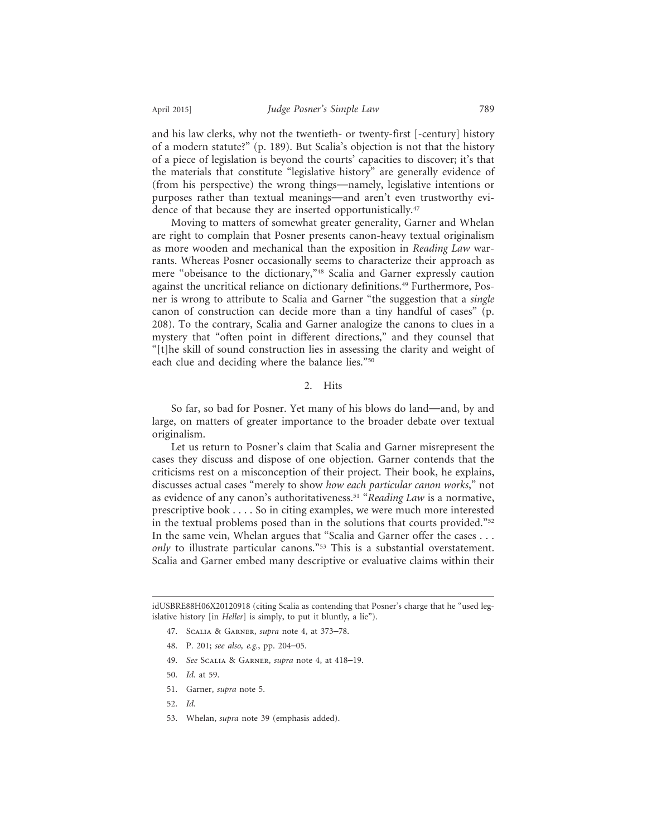and his law clerks, why not the twentieth- or twenty-first [-century] history of a modern statute?" (p. 189). But Scalia's objection is not that the history of a piece of legislation is beyond the courts' capacities to discover; it's that the materials that constitute "legislative history" are generally evidence of (from his perspective) the wrong things—namely, legislative intentions or purposes rather than textual meanings—and aren't even trustworthy evidence of that because they are inserted opportunistically.<sup>47</sup>

Moving to matters of somewhat greater generality, Garner and Whelan are right to complain that Posner presents canon-heavy textual originalism as more wooden and mechanical than the exposition in *Reading Law* warrants. Whereas Posner occasionally seems to characterize their approach as mere "obeisance to the dictionary,"<sup>48</sup> Scalia and Garner expressly caution against the uncritical reliance on dictionary definitions.49 Furthermore, Posner is wrong to attribute to Scalia and Garner "the suggestion that a *single* canon of construction can decide more than a tiny handful of cases" (p. 208). To the contrary, Scalia and Garner analogize the canons to clues in a mystery that "often point in different directions," and they counsel that "[t]he skill of sound construction lies in assessing the clarity and weight of each clue and deciding where the balance lies."50

## 2. Hits

So far, so bad for Posner. Yet many of his blows do land—and, by and large, on matters of greater importance to the broader debate over textual originalism.

Let us return to Posner's claim that Scalia and Garner misrepresent the cases they discuss and dispose of one objection. Garner contends that the criticisms rest on a misconception of their project. Their book, he explains, discusses actual cases "merely to show *how each particular canon works*," not as evidence of any canon's authoritativeness.51 "*Reading Law* is a normative, prescriptive book . . . . So in citing examples, we were much more interested in the textual problems posed than in the solutions that courts provided."52 In the same vein, Whelan argues that "Scalia and Garner offer the cases . . . *only* to illustrate particular canons."<sup>53</sup> This is a substantial overstatement. Scalia and Garner embed many descriptive or evaluative claims within their

idUSBRE88H06X20120918 (citing Scalia as contending that Posner's charge that he "used legislative history [in *Heller*] is simply, to put it bluntly, a lie").

- 47. Scalia & Garner, *supra* note 4, at 373–78.
- 48. P. 201; *see also, e.g.*, pp. 204–05.
- 49. *See* Scalia & Garner, *supra* note 4, at 418–19.
- 50. *Id.* at 59.
- 51. Garner, *supra* note 5.
- 52. *Id.*
- 53. Whelan, *supra* note 39 (emphasis added).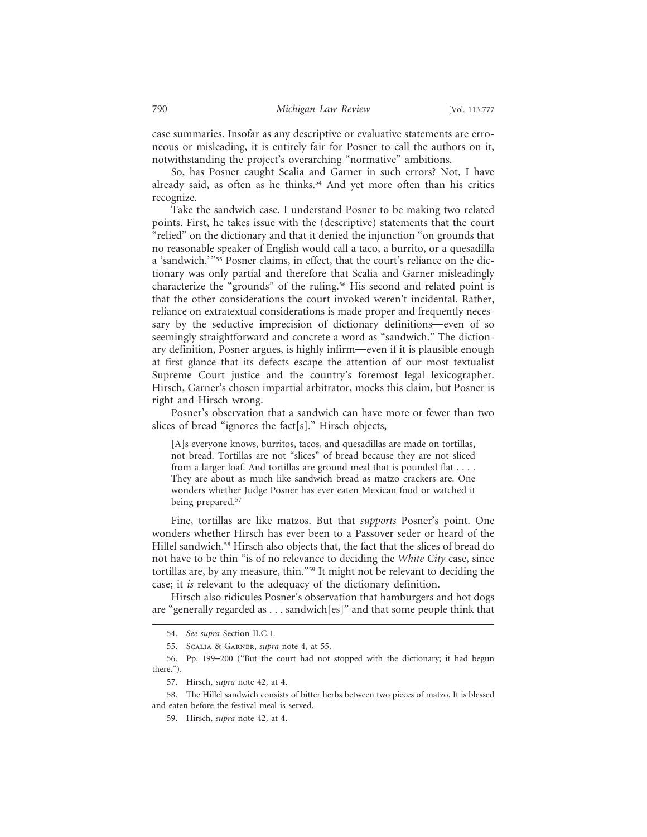case summaries. Insofar as any descriptive or evaluative statements are erroneous or misleading, it is entirely fair for Posner to call the authors on it, notwithstanding the project's overarching "normative" ambitions.

So, has Posner caught Scalia and Garner in such errors? Not, I have already said, as often as he thinks.<sup>54</sup> And yet more often than his critics recognize.

Take the sandwich case. I understand Posner to be making two related points. First, he takes issue with the (descriptive) statements that the court "relied" on the dictionary and that it denied the injunction "on grounds that no reasonable speaker of English would call a taco, a burrito, or a quesadilla a 'sandwich.'"55 Posner claims, in effect, that the court's reliance on the dictionary was only partial and therefore that Scalia and Garner misleadingly characterize the "grounds" of the ruling.56 His second and related point is that the other considerations the court invoked weren't incidental. Rather, reliance on extratextual considerations is made proper and frequently necessary by the seductive imprecision of dictionary definitions—even of so seemingly straightforward and concrete a word as "sandwich." The dictionary definition, Posner argues, is highly infirm—even if it is plausible enough at first glance that its defects escape the attention of our most textualist Supreme Court justice and the country's foremost legal lexicographer. Hirsch, Garner's chosen impartial arbitrator, mocks this claim, but Posner is right and Hirsch wrong.

Posner's observation that a sandwich can have more or fewer than two slices of bread "ignores the fact[s]." Hirsch objects,

[A]s everyone knows, burritos, tacos, and quesadillas are made on tortillas, not bread. Tortillas are not "slices" of bread because they are not sliced from a larger loaf. And tortillas are ground meal that is pounded flat . . . . They are about as much like sandwich bread as matzo crackers are. One wonders whether Judge Posner has ever eaten Mexican food or watched it being prepared.<sup>57</sup>

Fine, tortillas are like matzos. But that *supports* Posner's point. One wonders whether Hirsch has ever been to a Passover seder or heard of the Hillel sandwich.58 Hirsch also objects that, the fact that the slices of bread do not have to be thin "is of no relevance to deciding the *White City* case, since tortillas are, by any measure, thin."59 It might not be relevant to deciding the case; it *is* relevant to the adequacy of the dictionary definition.

Hirsch also ridicules Posner's observation that hamburgers and hot dogs are "generally regarded as . . . sandwich[es]" and that some people think that

<sup>54.</sup> *See supra* Section II.C.1.

<sup>55.</sup> Scalia & Garner, *supra* note 4, at 55.

<sup>56.</sup> Pp. 199–200 ("But the court had not stopped with the dictionary; it had begun there.").

<sup>57.</sup> Hirsch, *supra* note 42, at 4.

<sup>58.</sup> The Hillel sandwich consists of bitter herbs between two pieces of matzo. It is blessed and eaten before the festival meal is served.

<sup>59.</sup> Hirsch, *supra* note 42, at 4.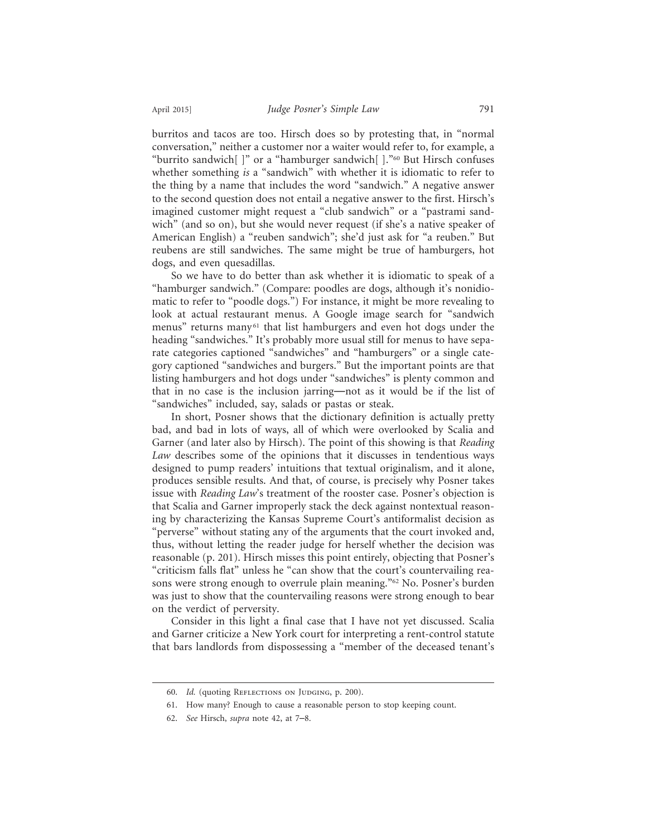burritos and tacos are too. Hirsch does so by protesting that, in "normal conversation," neither a customer nor a waiter would refer to, for example, a "burrito sandwich[ ]" or a "hamburger sandwich[ ]."60 But Hirsch confuses whether something *is* a "sandwich" with whether it is idiomatic to refer to the thing by a name that includes the word "sandwich." A negative answer to the second question does not entail a negative answer to the first. Hirsch's imagined customer might request a "club sandwich" or a "pastrami sandwich" (and so on), but she would never request (if she's a native speaker of American English) a "reuben sandwich"; she'd just ask for "a reuben." But reubens are still sandwiches. The same might be true of hamburgers, hot dogs, and even quesadillas.

So we have to do better than ask whether it is idiomatic to speak of a "hamburger sandwich." (Compare: poodles are dogs, although it's nonidiomatic to refer to "poodle dogs.") For instance, it might be more revealing to look at actual restaurant menus. A Google image search for "sandwich menus" returns many<sup>61</sup> that list hamburgers and even hot dogs under the heading "sandwiches." It's probably more usual still for menus to have separate categories captioned "sandwiches" and "hamburgers" or a single category captioned "sandwiches and burgers." But the important points are that listing hamburgers and hot dogs under "sandwiches" is plenty common and that in no case is the inclusion jarring—not as it would be if the list of "sandwiches" included, say, salads or pastas or steak.

In short, Posner shows that the dictionary definition is actually pretty bad, and bad in lots of ways, all of which were overlooked by Scalia and Garner (and later also by Hirsch). The point of this showing is that *Reading Law* describes some of the opinions that it discusses in tendentious ways designed to pump readers' intuitions that textual originalism, and it alone, produces sensible results. And that, of course, is precisely why Posner takes issue with *Reading Law*'s treatment of the rooster case. Posner's objection is that Scalia and Garner improperly stack the deck against nontextual reasoning by characterizing the Kansas Supreme Court's antiformalist decision as "perverse" without stating any of the arguments that the court invoked and, thus, without letting the reader judge for herself whether the decision was reasonable (p. 201). Hirsch misses this point entirely, objecting that Posner's "criticism falls flat" unless he "can show that the court's countervailing reasons were strong enough to overrule plain meaning."62 No. Posner's burden was just to show that the countervailing reasons were strong enough to bear on the verdict of perversity.

Consider in this light a final case that I have not yet discussed. Scalia and Garner criticize a New York court for interpreting a rent-control statute that bars landlords from dispossessing a "member of the deceased tenant's

<sup>60.</sup> Id. (quoting REFLECTIONS ON JUDGING, p. 200).

<sup>61.</sup> How many? Enough to cause a reasonable person to stop keeping count.

<sup>62.</sup> *See* Hirsch, *supra* note 42, at 7–8.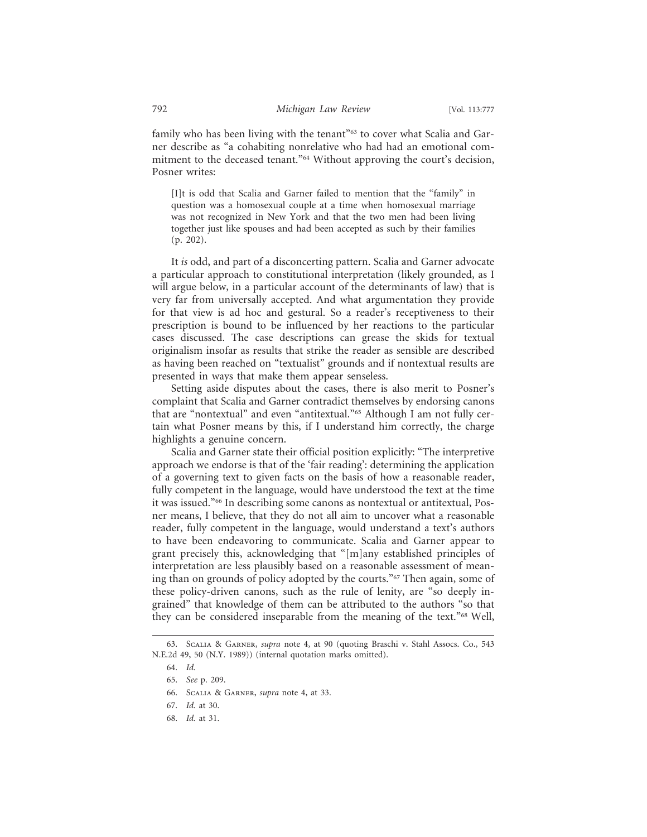family who has been living with the tenant"<sup>63</sup> to cover what Scalia and Garner describe as "a cohabiting nonrelative who had had an emotional commitment to the deceased tenant."64 Without approving the court's decision, Posner writes:

[I]t is odd that Scalia and Garner failed to mention that the "family" in question was a homosexual couple at a time when homosexual marriage was not recognized in New York and that the two men had been living together just like spouses and had been accepted as such by their families (p. 202).

It *is* odd, and part of a disconcerting pattern. Scalia and Garner advocate a particular approach to constitutional interpretation (likely grounded, as I will argue below, in a particular account of the determinants of law) that is very far from universally accepted. And what argumentation they provide for that view is ad hoc and gestural. So a reader's receptiveness to their prescription is bound to be influenced by her reactions to the particular cases discussed. The case descriptions can grease the skids for textual originalism insofar as results that strike the reader as sensible are described as having been reached on "textualist" grounds and if nontextual results are presented in ways that make them appear senseless.

Setting aside disputes about the cases, there is also merit to Posner's complaint that Scalia and Garner contradict themselves by endorsing canons that are "nontextual" and even "antitextual."65 Although I am not fully certain what Posner means by this, if I understand him correctly, the charge highlights a genuine concern.

Scalia and Garner state their official position explicitly: "The interpretive approach we endorse is that of the 'fair reading': determining the application of a governing text to given facts on the basis of how a reasonable reader, fully competent in the language, would have understood the text at the time it was issued."66 In describing some canons as nontextual or antitextual, Posner means, I believe, that they do not all aim to uncover what a reasonable reader, fully competent in the language, would understand a text's authors to have been endeavoring to communicate. Scalia and Garner appear to grant precisely this, acknowledging that "[m]any established principles of interpretation are less plausibly based on a reasonable assessment of meaning than on grounds of policy adopted by the courts."67 Then again, some of these policy-driven canons, such as the rule of lenity, are "so deeply ingrained" that knowledge of them can be attributed to the authors "so that they can be considered inseparable from the meaning of the text."68 Well,

<sup>63.</sup> Scalia & Garner, *supra* note 4, at 90 (quoting Braschi v. Stahl Assocs. Co., 543 N.E.2d 49, 50 (N.Y. 1989)) (internal quotation marks omitted).

<sup>64.</sup> *Id.*

<sup>65.</sup> *See* p. 209.

<sup>66.</sup> Scalia & Garner, *supra* note 4, at 33.

<sup>67.</sup> *Id.* at 30.

<sup>68.</sup> *Id.* at 31.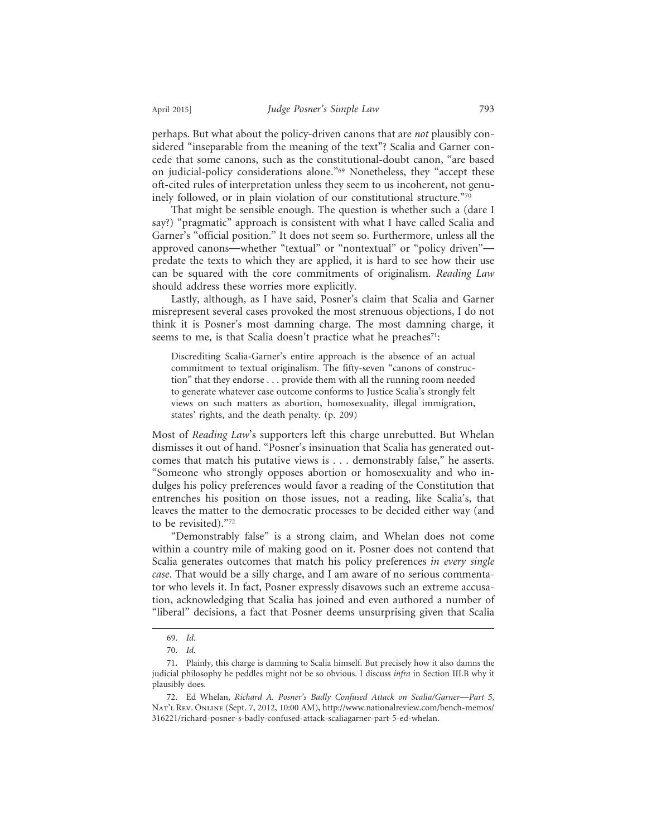perhaps. But what about the policy-driven canons that are *not* plausibly considered "inseparable from the meaning of the text"? Scalia and Garner concede that some canons, such as the constitutional-doubt canon, "are based on judicial-policy considerations alone."69 Nonetheless, they "accept these oft-cited rules of interpretation unless they seem to us incoherent, not genuinely followed, or in plain violation of our constitutional structure."70

That might be sensible enough. The question is whether such a (dare I say?) "pragmatic" approach is consistent with what I have called Scalia and Garner's "official position." It does not seem so. Furthermore, unless all the approved canons—whether "textual" or "nontextual" or "policy driven" predate the texts to which they are applied, it is hard to see how their use can be squared with the core commitments of originalism. *Reading Law* should address these worries more explicitly.

Lastly, although, as I have said, Posner's claim that Scalia and Garner misrepresent several cases provoked the most strenuous objections, I do not think it is Posner's most damning charge. The most damning charge, it seems to me, is that Scalia doesn't practice what he preaches<sup>71</sup>:

Discrediting Scalia-Garner's entire approach is the absence of an actual commitment to textual originalism. The fifty-seven "canons of construction" that they endorse . . . provide them with all the running room needed to generate whatever case outcome conforms to Justice Scalia's strongly felt views on such matters as abortion, homosexuality, illegal immigration, states' rights, and the death penalty. (p. 209)

Most of *Reading Law*'s supporters left this charge unrebutted. But Whelan dismisses it out of hand. "Posner's insinuation that Scalia has generated outcomes that match his putative views is . . . demonstrably false," he asserts. "Someone who strongly opposes abortion or homosexuality and who indulges his policy preferences would favor a reading of the Constitution that entrenches his position on those issues, not a reading, like Scalia's, that leaves the matter to the democratic processes to be decided either way (and to be revisited)."72

"Demonstrably false" is a strong claim, and Whelan does not come within a country mile of making good on it. Posner does not contend that Scalia generates outcomes that match his policy preferences *in every single case*. That would be a silly charge, and I am aware of no serious commentator who levels it. In fact, Posner expressly disavows such an extreme accusation, acknowledging that Scalia has joined and even authored a number of "liberal" decisions, a fact that Posner deems unsurprising given that Scalia

<sup>69.</sup> *Id.*

<sup>70.</sup> *Id.*

<sup>71.</sup> Plainly, this charge is damning to Scalia himself. But precisely how it also damns the judicial philosophy he peddles might not be so obvious. I discuss *infra* in Section III.B why it plausibly does.

<sup>72.</sup> Ed Whelan, *Richard A. Posner's Badly Confused Attack on Scalia/Garner*—*Part 5*, Nat'L Rev. ONLINE (Sept. 7, 2012, 10:00 AM), http://www.nationalreview.com/bench-memos/ 316221/richard-posner-s-badly-confused-attack-scaliagarner-part-5-ed-whelan.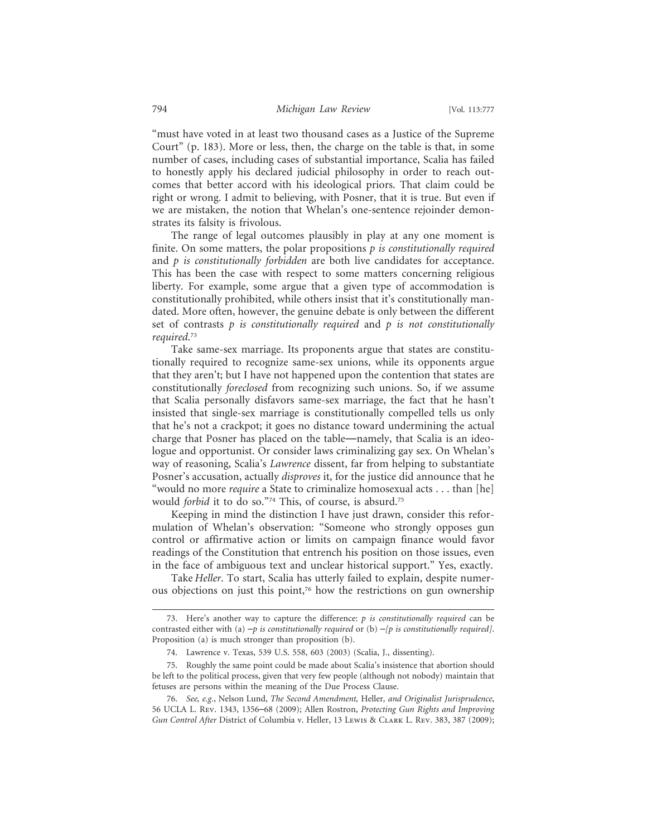"must have voted in at least two thousand cases as a Justice of the Supreme Court" (p. 183). More or less, then, the charge on the table is that, in some number of cases, including cases of substantial importance, Scalia has failed to honestly apply his declared judicial philosophy in order to reach outcomes that better accord with his ideological priors. That claim could be right or wrong. I admit to believing, with Posner, that it is true. But even if we are mistaken, the notion that Whelan's one-sentence rejoinder demonstrates its falsity is frivolous.

The range of legal outcomes plausibly in play at any one moment is finite. On some matters, the polar propositions *p is constitutionally required* and *p is constitutionally forbidden* are both live candidates for acceptance. This has been the case with respect to some matters concerning religious liberty. For example, some argue that a given type of accommodation is constitutionally prohibited, while others insist that it's constitutionally mandated. More often, however, the genuine debate is only between the different set of contrasts *p is constitutionally required* and *p is not constitutionally required*. 73

Take same-sex marriage. Its proponents argue that states are constitutionally required to recognize same-sex unions, while its opponents argue that they aren't; but I have not happened upon the contention that states are constitutionally *foreclosed* from recognizing such unions. So, if we assume that Scalia personally disfavors same-sex marriage, the fact that he hasn't insisted that single-sex marriage is constitutionally compelled tells us only that he's not a crackpot; it goes no distance toward undermining the actual charge that Posner has placed on the table—namely, that Scalia is an ideologue and opportunist. Or consider laws criminalizing gay sex. On Whelan's way of reasoning, Scalia's *Lawrence* dissent, far from helping to substantiate Posner's accusation, actually *disproves* it, for the justice did announce that he "would no more *require* a State to criminalize homosexual acts . . . than [he] would *forbid* it to do so."74 This, of course, is absurd.75

Keeping in mind the distinction I have just drawn, consider this reformulation of Whelan's observation: "Someone who strongly opposes gun control or affirmative action or limits on campaign finance would favor readings of the Constitution that entrench his position on those issues, even in the face of ambiguous text and unclear historical support." Yes, exactly.

Take *Heller*. To start, Scalia has utterly failed to explain, despite numerous objections on just this point,76 how the restrictions on gun ownership

<sup>73.</sup> Here's another way to capture the difference: *p is constitutionally required* can be contrasted either with (a)  $-p$  is constitutionally required or (b)  $-p$  is constitutionally required]. Proposition (a) is much stronger than proposition (b).

<sup>74.</sup> Lawrence v. Texas, 539 U.S. 558, 603 (2003) (Scalia, J., dissenting).

<sup>75.</sup> Roughly the same point could be made about Scalia's insistence that abortion should be left to the political process, given that very few people (although not nobody) maintain that fetuses are persons within the meaning of the Due Process Clause.

<sup>76.</sup> *See, e.g.*, Nelson Lund, *The Second Amendment,* Heller*, and Originalist Jurisprudence*, 56 UCLA L. Rev. 1343, 1356–68 (2009); Allen Rostron, *Protecting Gun Rights and Improving Gun Control After* District of Columbia v. Heller, 13 Lewis & Clark L. Rev. 383, 387 (2009);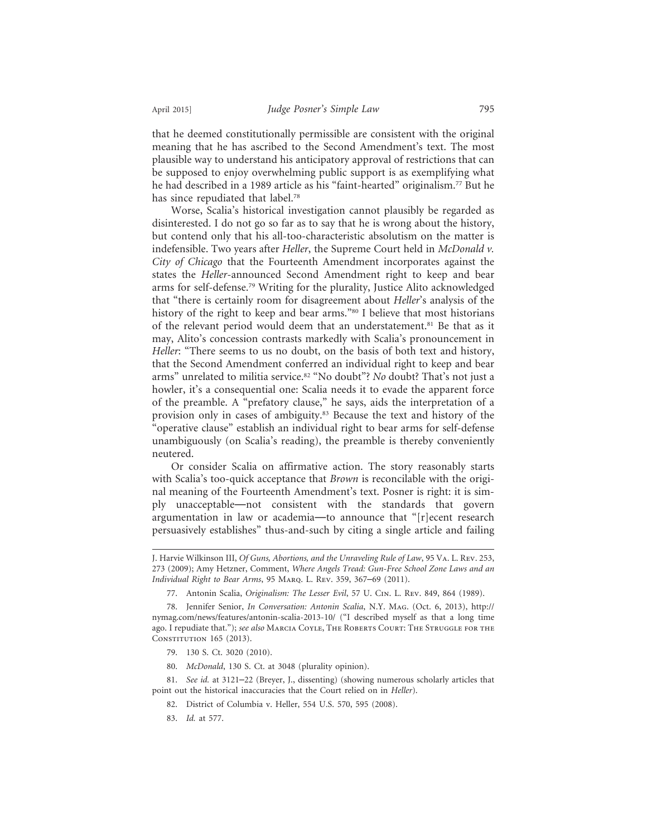that he deemed constitutionally permissible are consistent with the original meaning that he has ascribed to the Second Amendment's text. The most plausible way to understand his anticipatory approval of restrictions that can be supposed to enjoy overwhelming public support is as exemplifying what he had described in a 1989 article as his "faint-hearted" originalism.<sup>77</sup> But he has since repudiated that label.<sup>78</sup>

Worse, Scalia's historical investigation cannot plausibly be regarded as disinterested. I do not go so far as to say that he is wrong about the history, but contend only that his all-too-characteristic absolutism on the matter is indefensible. Two years after *Heller*, the Supreme Court held in *McDonald v. City of Chicago* that the Fourteenth Amendment incorporates against the states the *Heller*-announced Second Amendment right to keep and bear arms for self-defense.79 Writing for the plurality, Justice Alito acknowledged that "there is certainly room for disagreement about *Heller*'s analysis of the history of the right to keep and bear arms."<sup>80</sup> I believe that most historians of the relevant period would deem that an understatement.<sup>81</sup> Be that as it may, Alito's concession contrasts markedly with Scalia's pronouncement in *Heller*: "There seems to us no doubt, on the basis of both text and history, that the Second Amendment conferred an individual right to keep and bear arms" unrelated to militia service.<sup>82</sup> "No doubt"? *No* doubt? That's not just a howler, it's a consequential one: Scalia needs it to evade the apparent force of the preamble. A "prefatory clause," he says, aids the interpretation of a provision only in cases of ambiguity.83 Because the text and history of the "operative clause" establish an individual right to bear arms for self-defense unambiguously (on Scalia's reading), the preamble is thereby conveniently neutered.

Or consider Scalia on affirmative action. The story reasonably starts with Scalia's too-quick acceptance that *Brown* is reconcilable with the original meaning of the Fourteenth Amendment's text. Posner is right: it is simply unacceptable—not consistent with the standards that govern argumentation in law or academia—to announce that "[r]ecent research persuasively establishes" thus-and-such by citing a single article and failing

- 79. 130 S. Ct. 3020 (2010).
- 80. *McDonald*, 130 S. Ct. at 3048 (plurality opinion).

81. *See id.* at 3121–22 (Breyer, J., dissenting) (showing numerous scholarly articles that point out the historical inaccuracies that the Court relied on in *Heller*).

- 82. District of Columbia v. Heller, 554 U.S. 570, 595 (2008).
- 83. *Id.* at 577.

J. Harvie Wilkinson III, *Of Guns, Abortions, and the Unraveling Rule of Law*, 95 Va. L. Rev. 253, 273 (2009); Amy Hetzner, Comment, *Where Angels Tread: Gun-Free School Zone Laws and an Individual Right to Bear Arms*, 95 Marq. L. Rev. 359, 367–69 (2011).

<sup>77.</sup> Antonin Scalia, *Originalism: The Lesser Evil*, 57 U. Cin. L. Rev. 849, 864 (1989).

<sup>78.</sup> Jennifer Senior, *In Conversation: Antonin Scalia*, N.Y. Mag. (Oct. 6, 2013), http:// nymag.com/news/features/antonin-scalia-2013-10/ ("I described myself as that a long time ago. I repudiate that."); *see also* Marcia Coyle, The Roberts Court: The Struggle for the CONSTITUTION 165 (2013).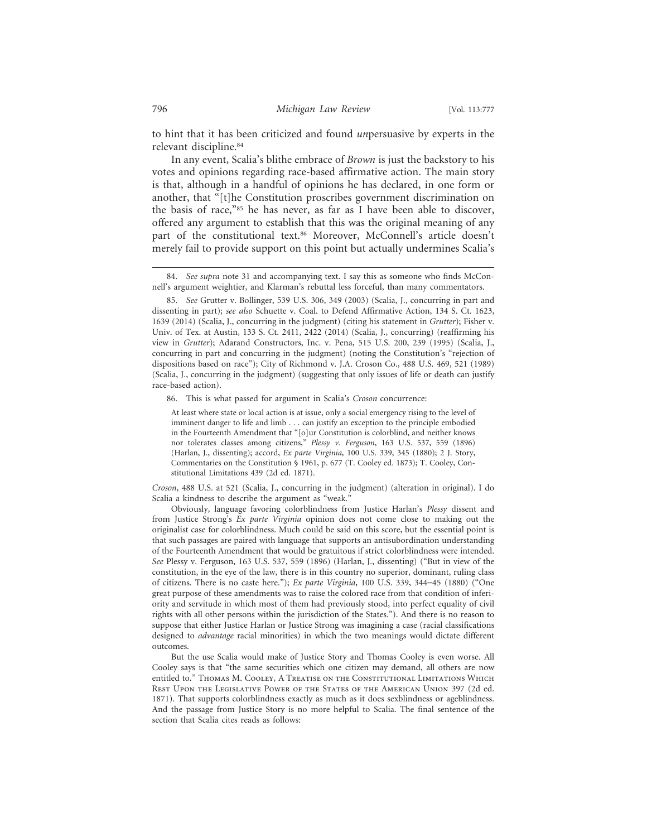to hint that it has been criticized and found *un*persuasive by experts in the relevant discipline.84

In any event, Scalia's blithe embrace of *Brown* is just the backstory to his votes and opinions regarding race-based affirmative action. The main story is that, although in a handful of opinions he has declared, in one form or another, that "[t]he Constitution proscribes government discrimination on the basis of race,"85 he has never, as far as I have been able to discover, offered any argument to establish that this was the original meaning of any part of the constitutional text.<sup>86</sup> Moreover, McConnell's article doesn't merely fail to provide support on this point but actually undermines Scalia's

86. This is what passed for argument in Scalia's *Croson* concurrence:

At least where state or local action is at issue, only a social emergency rising to the level of imminent danger to life and limb . . . can justify an exception to the principle embodied in the Fourteenth Amendment that "[o]ur Constitution is colorblind, and neither knows nor tolerates classes among citizens," *Plessy v. Ferguson*, 163 U.S. 537, 559 (1896) (Harlan, J., dissenting); accord, *Ex parte Virginia*, 100 U.S. 339, 345 (1880); 2 J. Story, Commentaries on the Constitution § 1961, p. 677 (T. Cooley ed. 1873); T. Cooley, Constitutional Limitations 439 (2d ed. 1871).

*Croson*, 488 U.S. at 521 (Scalia, J., concurring in the judgment) (alteration in original). I do Scalia a kindness to describe the argument as "weak."

Obviously, language favoring colorblindness from Justice Harlan's *Plessy* dissent and from Justice Strong's *Ex parte Virginia* opinion does not come close to making out the originalist case for colorblindness. Much could be said on this score, but the essential point is that such passages are paired with language that supports an antisubordination understanding of the Fourteenth Amendment that would be gratuitous if strict colorblindness were intended. *See* Plessy v. Ferguson, 163 U.S. 537, 559 (1896) (Harlan, J., dissenting) ("But in view of the constitution, in the eye of the law, there is in this country no superior, dominant, ruling class of citizens. There is no caste here."); *Ex parte Virginia*, 100 U.S. 339, 344–45 (1880) ("One great purpose of these amendments was to raise the colored race from that condition of inferiority and servitude in which most of them had previously stood, into perfect equality of civil rights with all other persons within the jurisdiction of the States."). And there is no reason to suppose that either Justice Harlan or Justice Strong was imagining a case (racial classifications designed to *advantage* racial minorities) in which the two meanings would dictate different outcomes.

But the use Scalia would make of Justice Story and Thomas Cooley is even worse. All Cooley says is that "the same securities which one citizen may demand, all others are now entitled to." Thomas M. Cooley, A Treatise on the Constitutional Limitations Which Rest Upon the Legislative Power of the States of the American Union 397 (2d ed. 1871). That supports colorblindness exactly as much as it does sexblindness or ageblindness. And the passage from Justice Story is no more helpful to Scalia. The final sentence of the section that Scalia cites reads as follows:

<sup>84.</sup> *See supra* note 31 and accompanying text. I say this as someone who finds McConnell's argument weightier, and Klarman's rebuttal less forceful, than many commentators.

<sup>85.</sup> *See* Grutter v. Bollinger, 539 U.S. 306, 349 (2003) (Scalia, J., concurring in part and dissenting in part); *see also* Schuette v. Coal. to Defend Affirmative Action, 134 S. Ct. 1623, 1639 (2014) (Scalia, J., concurring in the judgment) (citing his statement in *Grutter*); Fisher v. Univ. of Tex. at Austin, 133 S. Ct. 2411, 2422 (2014) (Scalia, J., concurring) (reaffirming his view in *Grutter*); Adarand Constructors, Inc. v. Pena, 515 U.S. 200, 239 (1995) (Scalia, J., concurring in part and concurring in the judgment) (noting the Constitution's "rejection of dispositions based on race"); City of Richmond v. J.A. Croson Co., 488 U.S. 469, 521 (1989) (Scalia, J., concurring in the judgment) (suggesting that only issues of life or death can justify race-based action).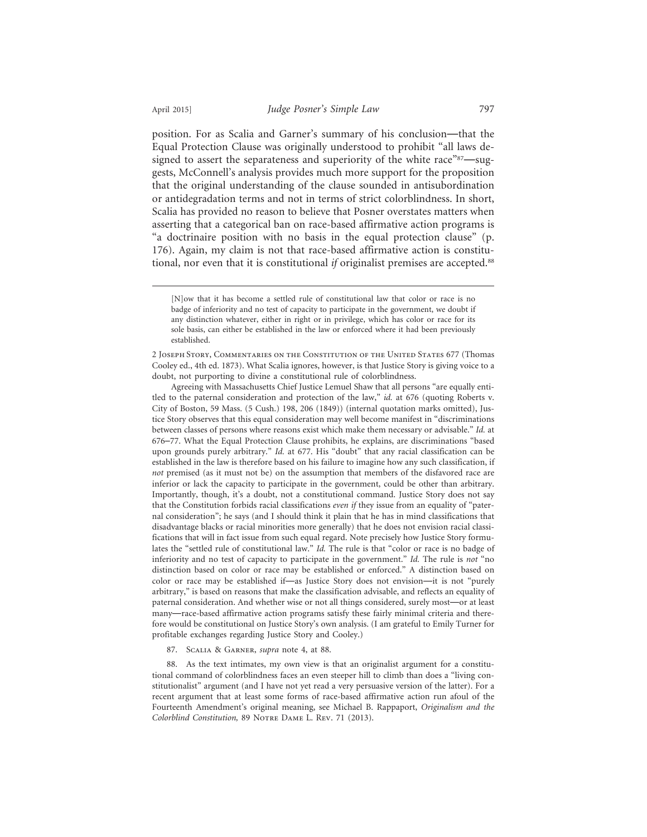position. For as Scalia and Garner's summary of his conclusion—that the Equal Protection Clause was originally understood to prohibit "all laws designed to assert the separateness and superiority of the white race"<sup>87</sup>—suggests, McConnell's analysis provides much more support for the proposition that the original understanding of the clause sounded in antisubordination or antidegradation terms and not in terms of strict colorblindness. In short, Scalia has provided no reason to believe that Posner overstates matters when asserting that a categorical ban on race-based affirmative action programs is "a doctrinaire position with no basis in the equal protection clause" (p. 176). Again, my claim is not that race-based affirmative action is constitutional, nor even that it is constitutional *if* originalist premises are accepted.88

2 Joseph Story, Commentaries on the Constitution of the United States 677 (Thomas Cooley ed., 4th ed. 1873). What Scalia ignores, however, is that Justice Story is giving voice to a doubt, not purporting to divine a constitutional rule of colorblindness.

Agreeing with Massachusetts Chief Justice Lemuel Shaw that all persons "are equally entitled to the paternal consideration and protection of the law," *id.* at 676 (quoting Roberts v. City of Boston, 59 Mass. (5 Cush.) 198, 206 (1849)) (internal quotation marks omitted), Justice Story observes that this equal consideration may well become manifest in "discriminations between classes of persons where reasons exist which make them necessary or advisable." *Id.* at 676–77. What the Equal Protection Clause prohibits, he explains, are discriminations "based upon grounds purely arbitrary." *Id.* at 677. His "doubt" that any racial classification can be established in the law is therefore based on his failure to imagine how any such classification, if *not* premised (as it must not be) on the assumption that members of the disfavored race are inferior or lack the capacity to participate in the government, could be other than arbitrary. Importantly, though, it's a doubt, not a constitutional command. Justice Story does not say that the Constitution forbids racial classifications *even if* they issue from an equality of "paternal consideration"; he says (and I should think it plain that he has in mind classifications that disadvantage blacks or racial minorities more generally) that he does not envision racial classifications that will in fact issue from such equal regard. Note precisely how Justice Story formulates the "settled rule of constitutional law." *Id.* The rule is that "color or race is no badge of inferiority and no test of capacity to participate in the government." *Id.* The rule is *not* "no distinction based on color or race may be established or enforced." A distinction based on color or race may be established if—as Justice Story does not envision—it is not "purely arbitrary," is based on reasons that make the classification advisable, and reflects an equality of paternal consideration. And whether wise or not all things considered, surely most—or at least many—race-based affirmative action programs satisfy these fairly minimal criteria and therefore would be constitutional on Justice Story's own analysis. (I am grateful to Emily Turner for profitable exchanges regarding Justice Story and Cooley.)

87. Scalia & Garner, *supra* note 4, at 88.

88. As the text intimates, my own view is that an originalist argument for a constitutional command of colorblindness faces an even steeper hill to climb than does a "living constitutionalist" argument (and I have not yet read a very persuasive version of the latter). For a recent argument that at least some forms of race-based affirmative action run afoul of the Fourteenth Amendment's original meaning, see Michael B. Rappaport, *Originalism and the Colorblind Constitution,* 89 Notre Dame L. Rev. 71 (2013).

<sup>[</sup>N]ow that it has become a settled rule of constitutional law that color or race is no badge of inferiority and no test of capacity to participate in the government, we doubt if any distinction whatever, either in right or in privilege, which has color or race for its sole basis, can either be established in the law or enforced where it had been previously established.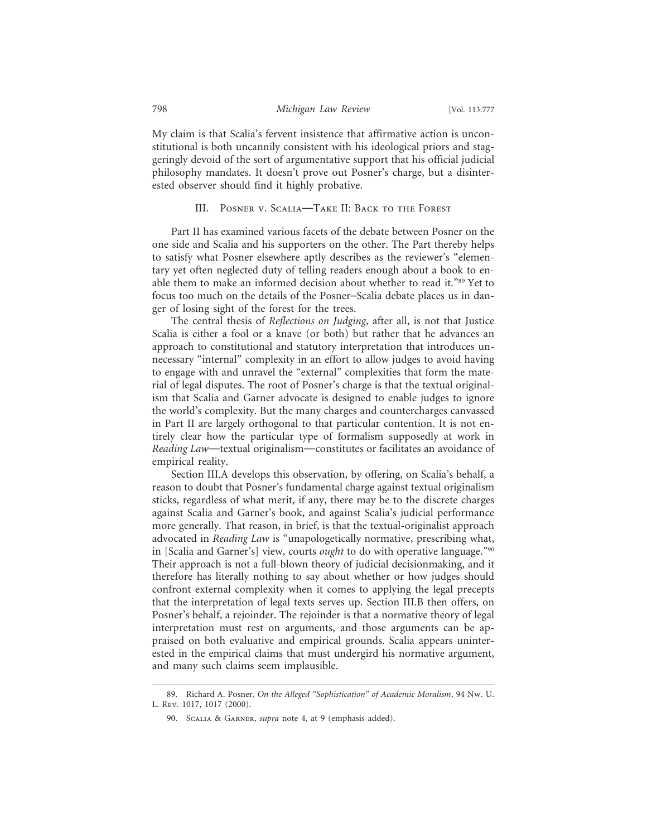My claim is that Scalia's fervent insistence that affirmative action is unconstitutional is both uncannily consistent with his ideological priors and staggeringly devoid of the sort of argumentative support that his official judicial philosophy mandates. It doesn't prove out Posner's charge, but a disinterested observer should find it highly probative.

## III. Posner v. Scalia—Take II: Back to the Forest

Part II has examined various facets of the debate between Posner on the one side and Scalia and his supporters on the other. The Part thereby helps to satisfy what Posner elsewhere aptly describes as the reviewer's "elementary yet often neglected duty of telling readers enough about a book to enable them to make an informed decision about whether to read it."89 Yet to focus too much on the details of the Posner–Scalia debate places us in danger of losing sight of the forest for the trees.

The central thesis of *Reflections on Judging*, after all, is not that Justice Scalia is either a fool or a knave (or both) but rather that he advances an approach to constitutional and statutory interpretation that introduces unnecessary "internal" complexity in an effort to allow judges to avoid having to engage with and unravel the "external" complexities that form the material of legal disputes. The root of Posner's charge is that the textual originalism that Scalia and Garner advocate is designed to enable judges to ignore the world's complexity. But the many charges and countercharges canvassed in Part II are largely orthogonal to that particular contention. It is not entirely clear how the particular type of formalism supposedly at work in *Reading Law*—textual originalism—constitutes or facilitates an avoidance of empirical reality.

Section III.A develops this observation, by offering, on Scalia's behalf, a reason to doubt that Posner's fundamental charge against textual originalism sticks, regardless of what merit, if any, there may be to the discrete charges against Scalia and Garner's book, and against Scalia's judicial performance more generally. That reason, in brief, is that the textual-originalist approach advocated in *Reading Law* is "unapologetically normative, prescribing what, in [Scalia and Garner's] view, courts *ought* to do with operative language."90 Their approach is not a full-blown theory of judicial decisionmaking, and it therefore has literally nothing to say about whether or how judges should confront external complexity when it comes to applying the legal precepts that the interpretation of legal texts serves up. Section III.B then offers, on Posner's behalf, a rejoinder. The rejoinder is that a normative theory of legal interpretation must rest on arguments, and those arguments can be appraised on both evaluative and empirical grounds. Scalia appears uninterested in the empirical claims that must undergird his normative argument, and many such claims seem implausible.

<sup>89.</sup> Richard A. Posner, *On the Alleged "Sophistication" of Academic Moralism*, 94 Nw. U. L. Rev. 1017, 1017 (2000).

<sup>90.</sup> Scalia & Garner, *supra* note 4, at 9 (emphasis added).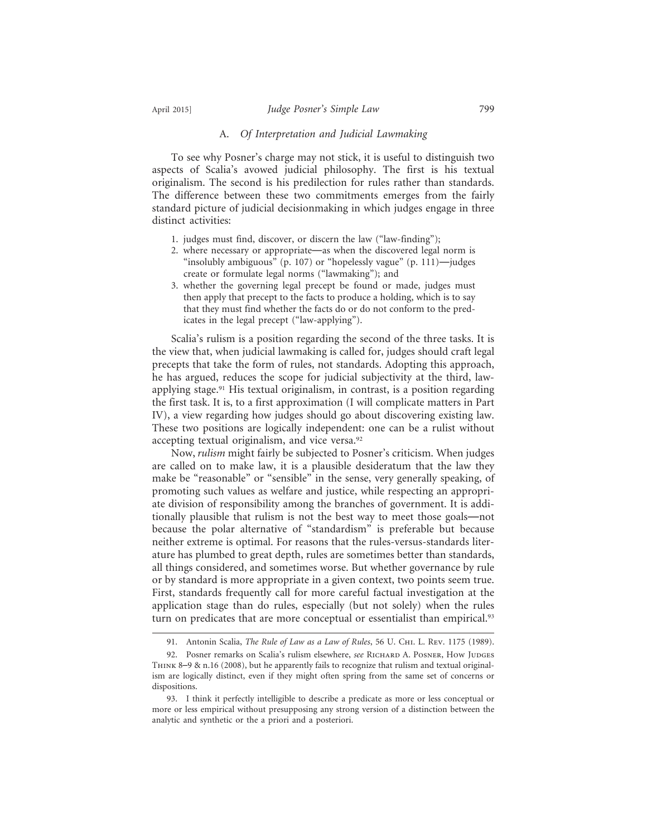#### A. *Of Interpretation and Judicial Lawmaking*

To see why Posner's charge may not stick, it is useful to distinguish two aspects of Scalia's avowed judicial philosophy. The first is his textual originalism. The second is his predilection for rules rather than standards. The difference between these two commitments emerges from the fairly standard picture of judicial decisionmaking in which judges engage in three distinct activities:

- 1. judges must find, discover, or discern the law ("law-finding");
- 2. where necessary or appropriate—as when the discovered legal norm is "insolubly ambiguous" (p. 107) or "hopelessly vague" (p. 111)—judges create or formulate legal norms ("lawmaking"); and
- 3. whether the governing legal precept be found or made, judges must then apply that precept to the facts to produce a holding, which is to say that they must find whether the facts do or do not conform to the predicates in the legal precept ("law-applying").

Scalia's rulism is a position regarding the second of the three tasks. It is the view that, when judicial lawmaking is called for, judges should craft legal precepts that take the form of rules, not standards. Adopting this approach, he has argued, reduces the scope for judicial subjectivity at the third, lawapplying stage.91 His textual originalism, in contrast, is a position regarding the first task. It is, to a first approximation (I will complicate matters in Part IV), a view regarding how judges should go about discovering existing law. These two positions are logically independent: one can be a rulist without accepting textual originalism, and vice versa.<sup>92</sup>

Now, *rulism* might fairly be subjected to Posner's criticism. When judges are called on to make law, it is a plausible desideratum that the law they make be "reasonable" or "sensible" in the sense, very generally speaking, of promoting such values as welfare and justice, while respecting an appropriate division of responsibility among the branches of government. It is additionally plausible that rulism is not the best way to meet those goals—not because the polar alternative of "standardism" is preferable but because neither extreme is optimal. For reasons that the rules-versus-standards literature has plumbed to great depth, rules are sometimes better than standards, all things considered, and sometimes worse. But whether governance by rule or by standard is more appropriate in a given context, two points seem true. First, standards frequently call for more careful factual investigation at the application stage than do rules, especially (but not solely) when the rules turn on predicates that are more conceptual or essentialist than empirical.<sup>93</sup>

<sup>91.</sup> Antonin Scalia, *The Rule of Law as a Law of Rules*, 56 U. Chi. L. Rev. 1175 (1989).

<sup>92.</sup> Posner remarks on Scalia's rulism elsewhere, *see* RICHARD A. POSNER, How JUDGES Think 8–9 & n.16 (2008), but he apparently fails to recognize that rulism and textual originalism are logically distinct, even if they might often spring from the same set of concerns or dispositions.

<sup>93.</sup> I think it perfectly intelligible to describe a predicate as more or less conceptual or more or less empirical without presupposing any strong version of a distinction between the analytic and synthetic or the a priori and a posteriori.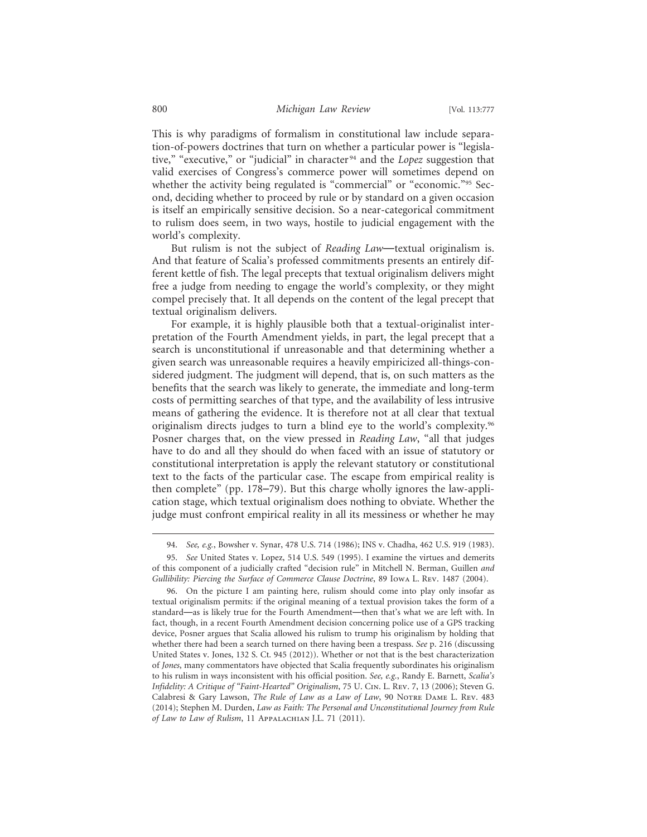This is why paradigms of formalism in constitutional law include separation-of-powers doctrines that turn on whether a particular power is "legislative," "executive," or "judicial" in character 94 and the *Lopez* suggestion that valid exercises of Congress's commerce power will sometimes depend on whether the activity being regulated is "commercial" or "economic."<sup>95</sup> Second, deciding whether to proceed by rule or by standard on a given occasion is itself an empirically sensitive decision. So a near-categorical commitment to rulism does seem, in two ways, hostile to judicial engagement with the world's complexity.

But rulism is not the subject of *Reading Law*—textual originalism is. And that feature of Scalia's professed commitments presents an entirely different kettle of fish. The legal precepts that textual originalism delivers might free a judge from needing to engage the world's complexity, or they might compel precisely that. It all depends on the content of the legal precept that textual originalism delivers.

For example, it is highly plausible both that a textual-originalist interpretation of the Fourth Amendment yields, in part, the legal precept that a search is unconstitutional if unreasonable and that determining whether a given search was unreasonable requires a heavily empiricized all-things-considered judgment. The judgment will depend, that is, on such matters as the benefits that the search was likely to generate, the immediate and long-term costs of permitting searches of that type, and the availability of less intrusive means of gathering the evidence. It is therefore not at all clear that textual originalism directs judges to turn a blind eye to the world's complexity.<sup>96</sup> Posner charges that, on the view pressed in *Reading Law*, "all that judges have to do and all they should do when faced with an issue of statutory or constitutional interpretation is apply the relevant statutory or constitutional text to the facts of the particular case. The escape from empirical reality is then complete" (pp. 178–79). But this charge wholly ignores the law-application stage, which textual originalism does nothing to obviate. Whether the judge must confront empirical reality in all its messiness or whether he may

<sup>94.</sup> *See, e.g.*, Bowsher v. Synar, 478 U.S. 714 (1986); INS v. Chadha, 462 U.S. 919 (1983).

<sup>95.</sup> *See* United States v. Lopez, 514 U.S. 549 (1995). I examine the virtues and demerits of this component of a judicially crafted "decision rule" in Mitchell N. Berman, Guillen *and Gullibility: Piercing the Surface of Commerce Clause Doctrine*, 89 Iowa L. Rev. 1487 (2004).

<sup>96.</sup> On the picture I am painting here, rulism should come into play only insofar as textual originalism permits: if the original meaning of a textual provision takes the form of a standard—as is likely true for the Fourth Amendment—then that's what we are left with. In fact, though, in a recent Fourth Amendment decision concerning police use of a GPS tracking device, Posner argues that Scalia allowed his rulism to trump his originalism by holding that whether there had been a search turned on there having been a trespass. *See* p. 216 (discussing United States v. Jones, 132 S. Ct. 945 (2012)). Whether or not that is the best characterization of *Jones*, many commentators have objected that Scalia frequently subordinates his originalism to his rulism in ways inconsistent with his official position. *See, e.g.*, Randy E. Barnett, *Scalia's Infidelity: A Critique of "Faint-Hearted" Originalism*, 75 U. Cin. L. Rev. 7, 13 (2006); Steven G. Calabresi & Gary Lawson, *The Rule of Law as a Law of Law*, 90 Notre Dame L. Rev. 483 (2014); Stephen M. Durden, *Law as Faith: The Personal and Unconstitutional Journey from Rule of Law to Law of Rulism*, 11 Appalachian J.L. 71 (2011).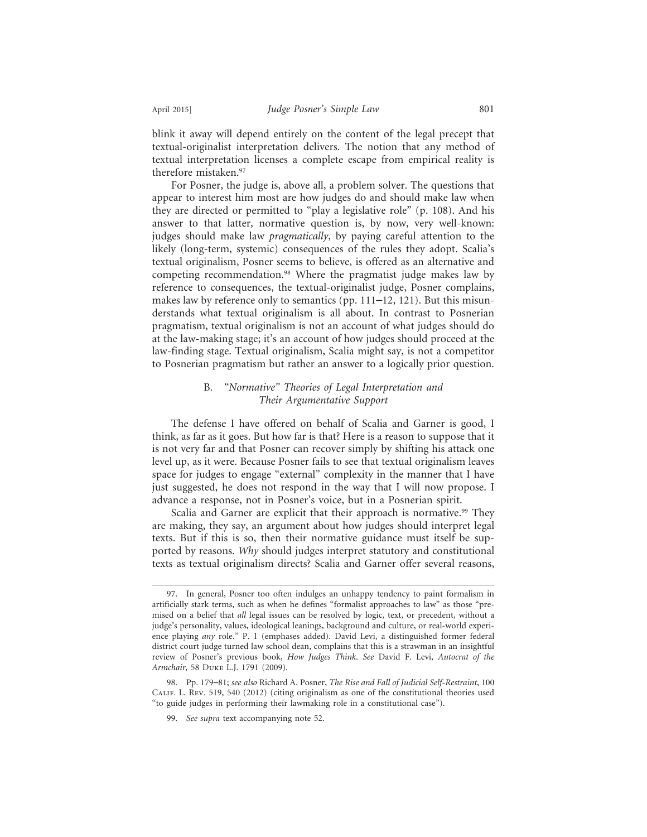blink it away will depend entirely on the content of the legal precept that textual-originalist interpretation delivers. The notion that any method of textual interpretation licenses a complete escape from empirical reality is therefore mistaken.<sup>97</sup>

For Posner, the judge is, above all, a problem solver. The questions that appear to interest him most are how judges do and should make law when they are directed or permitted to "play a legislative role" (p. 108). And his answer to that latter, normative question is, by now, very well-known: judges should make law *pragmatically*, by paying careful attention to the likely (long-term, systemic) consequences of the rules they adopt. Scalia's textual originalism, Posner seems to believe, is offered as an alternative and competing recommendation.98 Where the pragmatist judge makes law by reference to consequences, the textual-originalist judge, Posner complains, makes law by reference only to semantics (pp. 111–12, 121). But this misunderstands what textual originalism is all about. In contrast to Posnerian pragmatism, textual originalism is not an account of what judges should do at the law-making stage; it's an account of how judges should proceed at the law-finding stage. Textual originalism, Scalia might say, is not a competitor to Posnerian pragmatism but rather an answer to a logically prior question.

# B. *"Normative" Theories of Legal Interpretation and Their Argumentative Support*

The defense I have offered on behalf of Scalia and Garner is good, I think, as far as it goes. But how far is that? Here is a reason to suppose that it is not very far and that Posner can recover simply by shifting his attack one level up, as it were. Because Posner fails to see that textual originalism leaves space for judges to engage "external" complexity in the manner that I have just suggested, he does not respond in the way that I will now propose. I advance a response, not in Posner's voice, but in a Posnerian spirit.

Scalia and Garner are explicit that their approach is normative.<sup>99</sup> They are making, they say, an argument about how judges should interpret legal texts. But if this is so, then their normative guidance must itself be supported by reasons. *Why* should judges interpret statutory and constitutional texts as textual originalism directs? Scalia and Garner offer several reasons,

<sup>97.</sup> In general, Posner too often indulges an unhappy tendency to paint formalism in artificially stark terms, such as when he defines "formalist approaches to law" as those "premised on a belief that *all* legal issues can be resolved by logic, text, or precedent, without a judge's personality, values, ideological leanings, background and culture, or real-world experience playing *any* role." P. 1 (emphases added). David Levi, a distinguished former federal district court judge turned law school dean, complains that this is a strawman in an insightful review of Posner's previous book, *How Judges Think*. *See* David F. Levi, *Autocrat of the Armchair*, 58 Duke L.J. 1791 (2009).

<sup>98.</sup> Pp. 179–81; *see also* Richard A. Posner, *The Rise and Fall of Judicial Self-Restraint*, 100 Calif. L. Rev. 519, 540 (2012) (citing originalism as one of the constitutional theories used "to guide judges in performing their lawmaking role in a constitutional case").

<sup>99.</sup> *See supra* text accompanying note 52.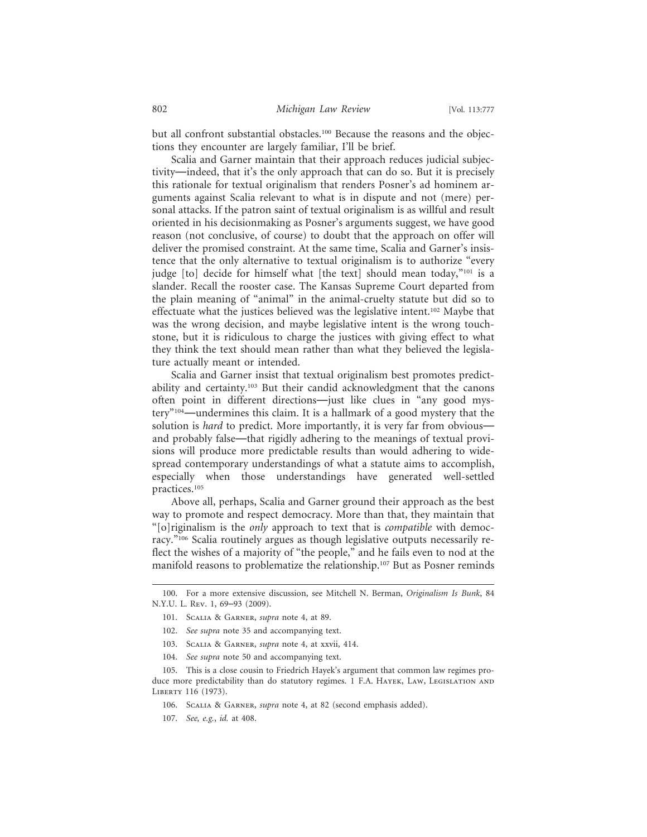but all confront substantial obstacles.<sup>100</sup> Because the reasons and the objections they encounter are largely familiar, I'll be brief.

Scalia and Garner maintain that their approach reduces judicial subjectivity—indeed, that it's the only approach that can do so. But it is precisely this rationale for textual originalism that renders Posner's ad hominem arguments against Scalia relevant to what is in dispute and not (mere) personal attacks. If the patron saint of textual originalism is as willful and result oriented in his decisionmaking as Posner's arguments suggest, we have good reason (not conclusive, of course) to doubt that the approach on offer will deliver the promised constraint. At the same time, Scalia and Garner's insistence that the only alternative to textual originalism is to authorize "every judge [to] decide for himself what [the text] should mean today,"<sup>101</sup> is a slander. Recall the rooster case. The Kansas Supreme Court departed from the plain meaning of "animal" in the animal-cruelty statute but did so to effectuate what the justices believed was the legislative intent.<sup>102</sup> Maybe that was the wrong decision, and maybe legislative intent is the wrong touchstone, but it is ridiculous to charge the justices with giving effect to what they think the text should mean rather than what they believed the legislature actually meant or intended.

Scalia and Garner insist that textual originalism best promotes predictability and certainty.103 But their candid acknowledgment that the canons often point in different directions—just like clues in "any good mystery"104—undermines this claim. It is a hallmark of a good mystery that the solution is *hard* to predict. More importantly, it is very far from obvious and probably false—that rigidly adhering to the meanings of textual provisions will produce more predictable results than would adhering to widespread contemporary understandings of what a statute aims to accomplish, especially when those understandings have generated well-settled practices.105

Above all, perhaps, Scalia and Garner ground their approach as the best way to promote and respect democracy. More than that, they maintain that "[o]riginalism is the *only* approach to text that is *compatible* with democracy."106 Scalia routinely argues as though legislative outputs necessarily reflect the wishes of a majority of "the people," and he fails even to nod at the manifold reasons to problematize the relationship.107 But as Posner reminds

- 103. Scalia & Garner, *supra* note 4, at xxvii, 414.
- 104. *See supra* note 50 and accompanying text.

<sup>100.</sup> For a more extensive discussion, see Mitchell N. Berman, *Originalism Is Bunk*, 84 N.Y.U. L. Rev. 1, 69–93 (2009).

<sup>101.</sup> Scalia & Garner, *supra* note 4, at 89.

<sup>102.</sup> *See supra* note 35 and accompanying text.

<sup>105.</sup> This is a close cousin to Friedrich Hayek's argument that common law regimes produce more predictability than do statutory regimes. 1 F.A. HAYEK, LAW, LEGISLATION AND LIBERTY 116 (1973).

<sup>106.</sup> Scalia & Garner, *supra* note 4, at 82 (second emphasis added).

<sup>107.</sup> *See, e.g.*, *id.* at 408.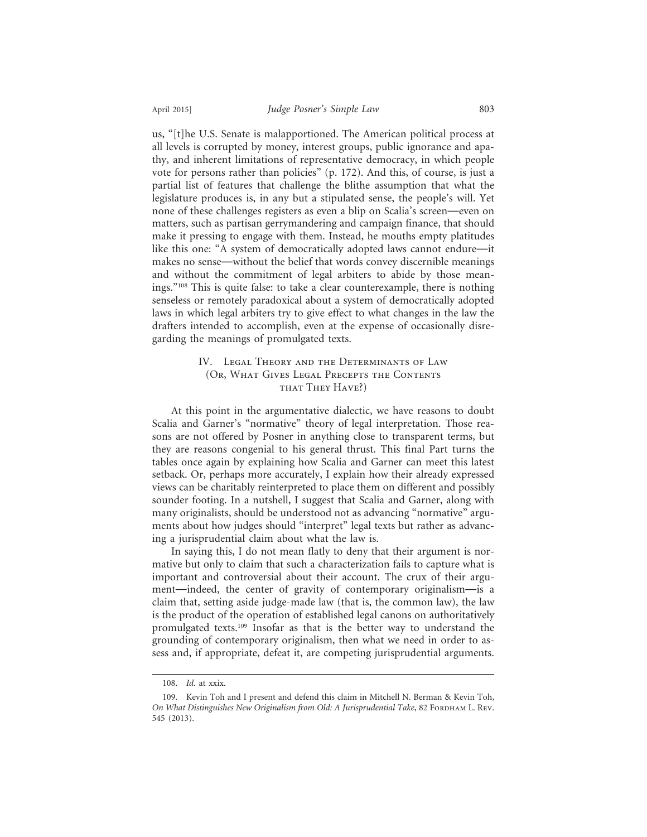us, "[t]he U.S. Senate is malapportioned. The American political process at all levels is corrupted by money, interest groups, public ignorance and apathy, and inherent limitations of representative democracy, in which people vote for persons rather than policies" (p. 172). And this, of course, is just a partial list of features that challenge the blithe assumption that what the legislature produces is, in any but a stipulated sense, the people's will. Yet none of these challenges registers as even a blip on Scalia's screen—even on matters, such as partisan gerrymandering and campaign finance, that should make it pressing to engage with them. Instead, he mouths empty platitudes like this one: "A system of democratically adopted laws cannot endure—it makes no sense—without the belief that words convey discernible meanings and without the commitment of legal arbiters to abide by those meanings."108 This is quite false: to take a clear counterexample, there is nothing senseless or remotely paradoxical about a system of democratically adopted laws in which legal arbiters try to give effect to what changes in the law the drafters intended to accomplish, even at the expense of occasionally disregarding the meanings of promulgated texts.

# IV. Legal Theory and the Determinants of Law (Or, What Gives Legal Precepts the Contents THAT THEY HAVE?)

At this point in the argumentative dialectic, we have reasons to doubt Scalia and Garner's "normative" theory of legal interpretation. Those reasons are not offered by Posner in anything close to transparent terms, but they are reasons congenial to his general thrust. This final Part turns the tables once again by explaining how Scalia and Garner can meet this latest setback. Or, perhaps more accurately, I explain how their already expressed views can be charitably reinterpreted to place them on different and possibly sounder footing. In a nutshell, I suggest that Scalia and Garner, along with many originalists, should be understood not as advancing "normative" arguments about how judges should "interpret" legal texts but rather as advancing a jurisprudential claim about what the law is.

In saying this, I do not mean flatly to deny that their argument is normative but only to claim that such a characterization fails to capture what is important and controversial about their account. The crux of their argument—indeed, the center of gravity of contemporary originalism—is a claim that, setting aside judge-made law (that is, the common law), the law is the product of the operation of established legal canons on authoritatively promulgated texts.109 Insofar as that is the better way to understand the grounding of contemporary originalism, then what we need in order to assess and, if appropriate, defeat it, are competing jurisprudential arguments.

<sup>108.</sup> *Id.* at xxix.

<sup>109.</sup> Kevin Toh and I present and defend this claim in Mitchell N. Berman & Kevin Toh, On What Distinguishes New Originalism from Old: А Jurisprudential Take, 82 FORDHAM L. REV. 545 (2013).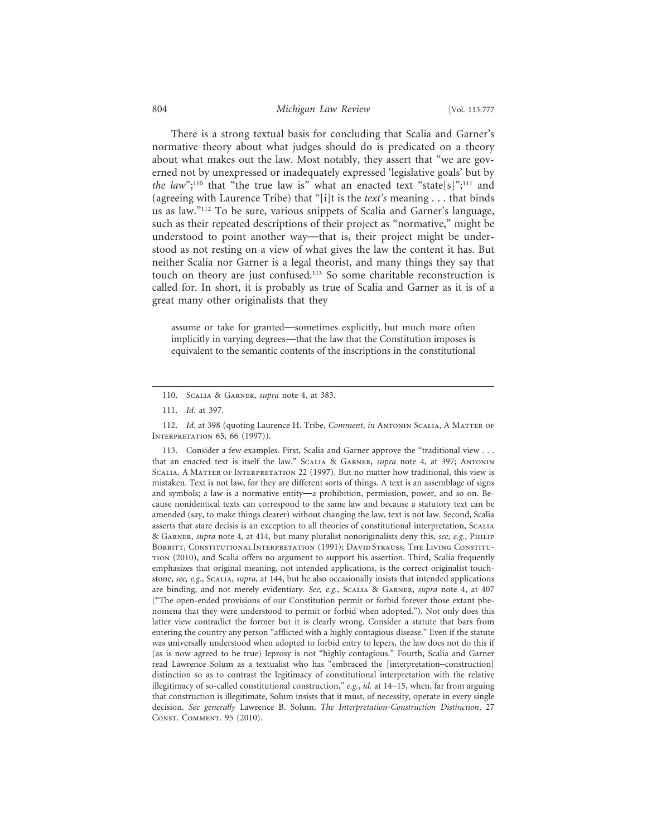## 804 *Michigan Law Review* [Vol. 113:777

There is a strong textual basis for concluding that Scalia and Garner's normative theory about what judges should do is predicated on a theory about what makes out the law. Most notably, they assert that "we are governed not by unexpressed or inadequately expressed 'legislative goals' but by *the law*";<sup>110</sup> that "the true law is" what an enacted text "state[s]";<sup>111</sup> and (agreeing with Laurence Tribe) that "[i]t is the *text's* meaning . . . that binds us as law."112 To be sure, various snippets of Scalia and Garner's language, such as their repeated descriptions of their project as "normative," might be understood to point another way—that is, their project might be understood as not resting on a view of what gives the law the content it has. But neither Scalia nor Garner is a legal theorist, and many things they say that touch on theory are just confused.113 So some charitable reconstruction is called for. In short, it is probably as true of Scalia and Garner as it is of a great many other originalists that they

assume or take for granted—sometimes explicitly, but much more often implicitly in varying degrees—that the law that the Constitution imposes is equivalent to the semantic contents of the inscriptions in the constitutional

113. Consider a few examples. First, Scalia and Garner approve the "traditional view . . . that an enacted text is itself the law." Scalia & Garner, *supra* note 4, at 397; Antonin Scalia, A Matter of Interpretation 22 (1997). But no matter how traditional, this view is mistaken. Text is not law, for they are different sorts of things. A text is an assemblage of signs and symbols; a law is a normative entity—a prohibition, permission, power, and so on. Because nonidentical texts can correspond to the same law and because a statutory text can be amended (say, to make things clearer) without changing the law, text is not law. Second, Scalia asserts that stare decisis is an exception to all theories of constitutional interpretation, Scalia & Garner, *supra* note 4, at 414, but many pluralist nonoriginalists deny this, *see, e.g.*, Philip BOBBITT, CONSTITUTIONAL INTERPRETATION (1991); DAVID STRAUSS, THE LIVING CONSTITUtion (2010), and Scalia offers no argument to support his assertion. Third, Scalia frequently emphasizes that original meaning, not intended applications, is the correct originalist touchstone, *see, e.g.*, Scalia, *supra*, at 144, but he also occasionally insists that intended applications are binding, and not merely evidentiary. *See, e.g.*, Scalia & Garner, *supra* note 4, at 407 ("The open-ended provisions of our Constitution permit or forbid forever those extant phenomena that they were understood to permit or forbid when adopted."). Not only does this latter view contradict the former but it is clearly wrong. Consider a statute that bars from entering the country any person "afflicted with a highly contagious disease." Even if the statute was universally understood when adopted to forbid entry to lepers, the law does not do this if (as is now agreed to be true) leprosy is not "highly contagious." Fourth, Scalia and Garner read Lawrence Solum as a textualist who has "embraced the [interpretation–construction] distinction so as to contrast the legitimacy of constitutional interpretation with the relative illegitimacy of so-called constitutional construction," *e.g.*, *id.* at 14–15, when, far from arguing that construction is illegitimate, Solum insists that it must, of necessity, operate in every single decision. *See generally* Lawrence B. Solum, *The Interpretation-Construction Distinction*, 27 Const. Comment. 95 (2010).

<sup>110.</sup> Scalia & Garner, *supra* note 4, at 383.

<sup>111.</sup> *Id.* at 397.

<sup>112.</sup> *Id.* at 398 (quoting Laurence H. Tribe, *Comment*, *in* Antonin Scalia, A Matter of Interpretation 65, 66 (1997)).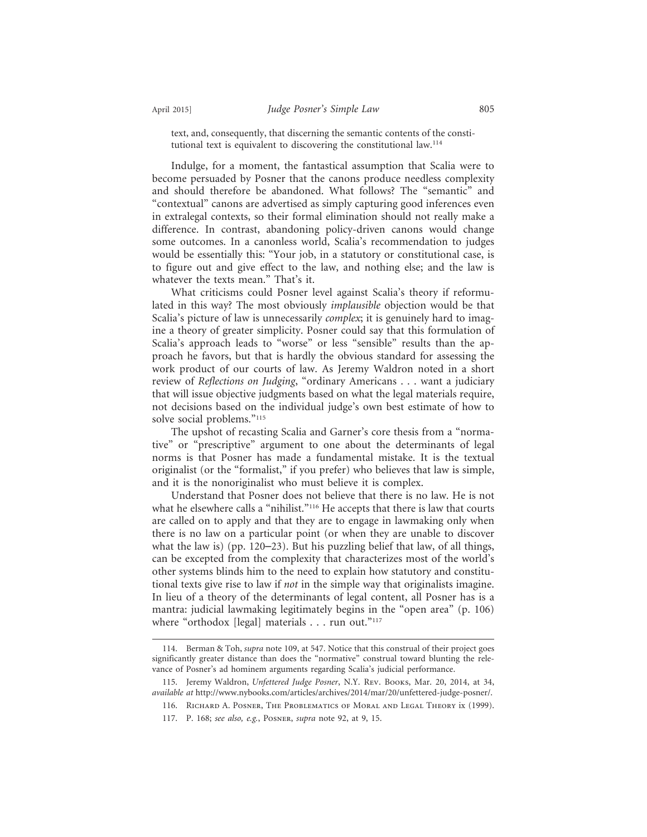text, and, consequently, that discerning the semantic contents of the constitutional text is equivalent to discovering the constitutional law.114

Indulge, for a moment, the fantastical assumption that Scalia were to become persuaded by Posner that the canons produce needless complexity and should therefore be abandoned. What follows? The "semantic" and "contextual" canons are advertised as simply capturing good inferences even in extralegal contexts, so their formal elimination should not really make a difference. In contrast, abandoning policy-driven canons would change some outcomes. In a canonless world, Scalia's recommendation to judges would be essentially this: "Your job, in a statutory or constitutional case, is to figure out and give effect to the law, and nothing else; and the law is whatever the texts mean." That's it.

What criticisms could Posner level against Scalia's theory if reformulated in this way? The most obviously *implausible* objection would be that Scalia's picture of law is unnecessarily *complex*; it is genuinely hard to imagine a theory of greater simplicity. Posner could say that this formulation of Scalia's approach leads to "worse" or less "sensible" results than the approach he favors, but that is hardly the obvious standard for assessing the work product of our courts of law. As Jeremy Waldron noted in a short review of *Reflections on Judging*, "ordinary Americans . . . want a judiciary that will issue objective judgments based on what the legal materials require, not decisions based on the individual judge's own best estimate of how to solve social problems."<sup>115</sup>

The upshot of recasting Scalia and Garner's core thesis from a "normative" or "prescriptive" argument to one about the determinants of legal norms is that Posner has made a fundamental mistake. It is the textual originalist (or the "formalist," if you prefer) who believes that law is simple, and it is the nonoriginalist who must believe it is complex.

Understand that Posner does not believe that there is no law. He is not what he elsewhere calls a "nihilist."<sup>116</sup> He accepts that there is law that courts are called on to apply and that they are to engage in lawmaking only when there is no law on a particular point (or when they are unable to discover what the law is) (pp. 120–23). But his puzzling belief that law, of all things, can be excepted from the complexity that characterizes most of the world's other systems blinds him to the need to explain how statutory and constitutional texts give rise to law if *not* in the simple way that originalists imagine. In lieu of a theory of the determinants of legal content, all Posner has is a mantra: judicial lawmaking legitimately begins in the "open area" (p. 106) where "orthodox [legal] materials  $\ldots$  run out."<sup>117</sup>

<sup>114.</sup> Berman & Toh, *supra* note 109, at 547. Notice that this construal of their project goes significantly greater distance than does the "normative" construal toward blunting the relevance of Posner's ad hominem arguments regarding Scalia's judicial performance.

<sup>115.</sup> Jeremy Waldron, *Unfettered Judge Posner*, N.Y. Rev. Books, Mar. 20, 2014, at 34, *available at* http://www.nybooks.com/articles/archives/2014/mar/20/unfettered-judge-posner/.

<sup>116.</sup> Richard A. Posner, The Problematics of Moral and Legal Theory ix (1999).

<sup>117.</sup> P. 168; *see also, e.g.*, Posner, *supra* note 92, at 9, 15.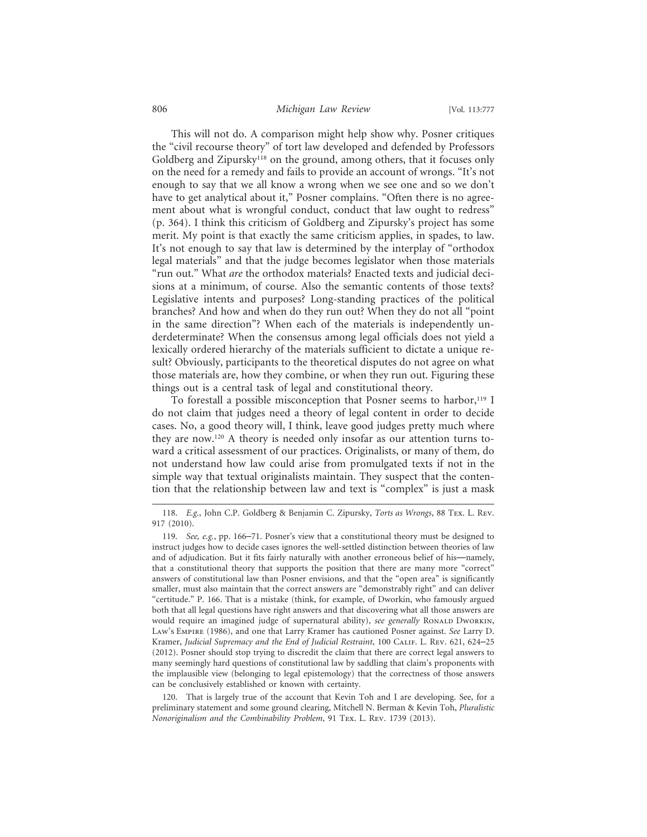## 806 *Michigan Law Review* [Vol. 113:777

This will not do. A comparison might help show why. Posner critiques the "civil recourse theory" of tort law developed and defended by Professors Goldberg and Zipursky<sup>118</sup> on the ground, among others, that it focuses only on the need for a remedy and fails to provide an account of wrongs. "It's not enough to say that we all know a wrong when we see one and so we don't have to get analytical about it," Posner complains. "Often there is no agreement about what is wrongful conduct, conduct that law ought to redress" (p. 364). I think this criticism of Goldberg and Zipursky's project has some merit. My point is that exactly the same criticism applies, in spades, to law. It's not enough to say that law is determined by the interplay of "orthodox legal materials" and that the judge becomes legislator when those materials "run out." What *are* the orthodox materials? Enacted texts and judicial decisions at a minimum, of course. Also the semantic contents of those texts? Legislative intents and purposes? Long-standing practices of the political branches? And how and when do they run out? When they do not all "point in the same direction"? When each of the materials is independently underdeterminate? When the consensus among legal officials does not yield a lexically ordered hierarchy of the materials sufficient to dictate a unique result? Obviously, participants to the theoretical disputes do not agree on what those materials are, how they combine, or when they run out. Figuring these things out is a central task of legal and constitutional theory.

To forestall a possible misconception that Posner seems to harbor,<sup>119</sup> I do not claim that judges need a theory of legal content in order to decide cases. No, a good theory will, I think, leave good judges pretty much where they are now.120 A theory is needed only insofar as our attention turns toward a critical assessment of our practices. Originalists, or many of them, do not understand how law could arise from promulgated texts if not in the simple way that textual originalists maintain. They suspect that the contention that the relationship between law and text is "complex" is just a mask

120. That is largely true of the account that Kevin Toh and I are developing. See, for a preliminary statement and some ground clearing, Mitchell N. Berman & Kevin Toh, *Pluralistic Nonoriginalism and the Combinability Problem*, 91 Tex. L. Rev. 1739 (2013).

<sup>118.</sup> *E.g.*, John C.P. Goldberg & Benjamin C. Zipursky, *Torts as Wrongs*, 88 Tex. L. Rev. 917 (2010).

<sup>119.</sup> *See, e.g.*, pp. 166–71. Posner's view that a constitutional theory must be designed to instruct judges how to decide cases ignores the well-settled distinction between theories of law and of adjudication. But it fits fairly naturally with another erroneous belief of his—namely, that a constitutional theory that supports the position that there are many more "correct" answers of constitutional law than Posner envisions, and that the "open area" is significantly smaller, must also maintain that the correct answers are "demonstrably right" and can deliver "certitude." P. 166. That is a mistake (think, for example, of Dworkin, who famously argued both that all legal questions have right answers and that discovering what all those answers are would require an imagined judge of supernatural ability), *see generally* RONALD DWORKIN, Law's Empire (1986), and one that Larry Kramer has cautioned Posner against. *See* Larry D. Kramer, *Judicial Supremacy and the End of Judicial Restraint*, 100 CALIF. L. REV. 621, 624–25 (2012). Posner should stop trying to discredit the claim that there are correct legal answers to many seemingly hard questions of constitutional law by saddling that claim's proponents with the implausible view (belonging to legal epistemology) that the correctness of those answers can be conclusively established or known with certainty.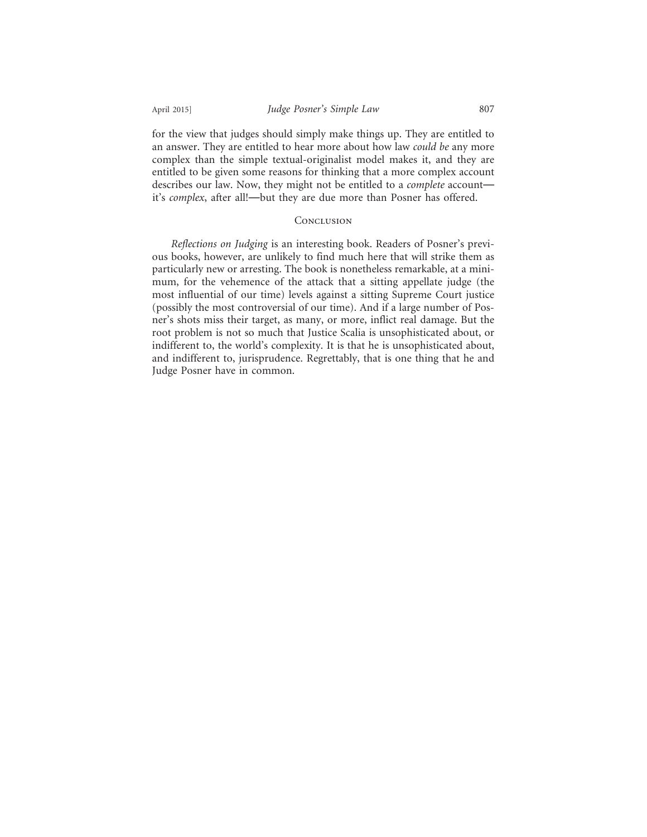for the view that judges should simply make things up. They are entitled to an answer. They are entitled to hear more about how law *could be* any more complex than the simple textual-originalist model makes it, and they are entitled to be given some reasons for thinking that a more complex account describes our law. Now, they might not be entitled to a *complete* account it's *complex*, after all!—but they are due more than Posner has offered.

## **CONCLUSION**

*Reflections on Judging* is an interesting book. Readers of Posner's previous books, however, are unlikely to find much here that will strike them as particularly new or arresting. The book is nonetheless remarkable, at a minimum, for the vehemence of the attack that a sitting appellate judge (the most influential of our time) levels against a sitting Supreme Court justice (possibly the most controversial of our time). And if a large number of Posner's shots miss their target, as many, or more, inflict real damage. But the root problem is not so much that Justice Scalia is unsophisticated about, or indifferent to, the world's complexity. It is that he is unsophisticated about, and indifferent to, jurisprudence. Regrettably, that is one thing that he and Judge Posner have in common.